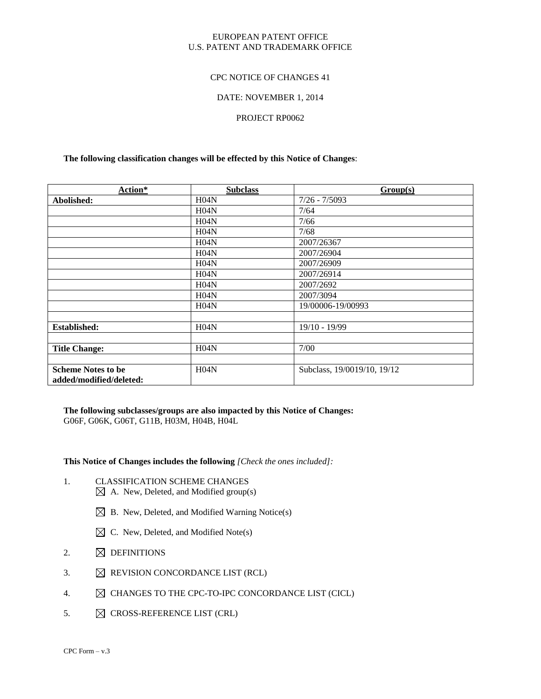#### EUROPEAN PATENT OFFICE U.S. PATENT AND TRADEMARK OFFICE

#### CPC NOTICE OF CHANGES 41

#### DATE: NOVEMBER 1, 2014

#### PROJECT RP0062

#### **The following classification changes will be effected by this Notice of Changes**:

| Action*                   | <b>Subclass</b> | Group(s)                    |
|---------------------------|-----------------|-----------------------------|
| Abolished:                | H04N            | $7/26 - 7/5093$             |
|                           | H04N            | 7/64                        |
|                           | H04N            | 7/66                        |
|                           | H04N            | 7/68                        |
|                           | H04N            | 2007/26367                  |
|                           | H04N            | 2007/26904                  |
|                           | H04N            | 2007/26909                  |
|                           | H04N            | 2007/26914                  |
|                           | H04N            | 2007/2692                   |
|                           | H04N            | 2007/3094                   |
|                           | H04N            | 19/00006-19/00993           |
|                           |                 |                             |
| <b>Established:</b>       | H04N            | 19/10 - 19/99               |
|                           |                 |                             |
| <b>Title Change:</b>      | H04N            | 7/00                        |
|                           |                 |                             |
| <b>Scheme Notes to be</b> | H04N            | Subclass, 19/0019/10, 19/12 |
| added/modified/deleted:   |                 |                             |

**The following subclasses/groups are also impacted by this Notice of Changes:**  G06F, G06K, G06T, G11B, H03M, H04B, H04L

#### **This Notice of Changes includes the following** *[Check the ones included]:*

- 1. CLASSIFICATION SCHEME CHANGES  $\boxtimes$  A. New, Deleted, and Modified group(s)
	- $\boxtimes$  B. New, Deleted, and Modified Warning Notice(s)
	- $\boxtimes$  C. New, Deleted, and Modified Note(s)
- 2.  $\boxtimes$  DEFINITIONS
- 3.  $\boxtimes$  REVISION CONCORDANCE LIST (RCL)
- 4.  $\boxtimes$  CHANGES TO THE CPC-TO-IPC CONCORDANCE LIST (CICL)
- 5.  $\boxtimes$  CROSS-REFERENCE LIST (CRL)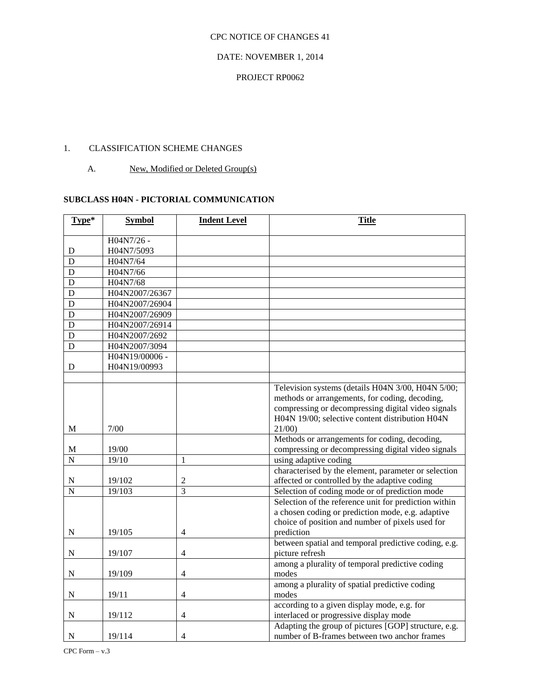#### DATE: NOVEMBER 1, 2014

#### PROJECT RP0062

# 1. CLASSIFICATION SCHEME CHANGES

A. New, Modified or Deleted Group(s)

## **SUBCLASS H04N - PICTORIAL COMMUNICATION**

| Type*              | <b>Symbol</b>  | <b>Indent Level</b> | <b>Title</b>                                                            |
|--------------------|----------------|---------------------|-------------------------------------------------------------------------|
|                    | H04N7/26 -     |                     |                                                                         |
| D                  | H04N7/5093     |                     |                                                                         |
| D                  | H04N7/64       |                     |                                                                         |
| D                  | H04N7/66       |                     |                                                                         |
| D                  | H04N7/68       |                     |                                                                         |
| D                  | H04N2007/26367 |                     |                                                                         |
| D                  | H04N2007/26904 |                     |                                                                         |
| D                  | H04N2007/26909 |                     |                                                                         |
| D                  | H04N2007/26914 |                     |                                                                         |
| D                  | H04N2007/2692  |                     |                                                                         |
| D                  | H04N2007/3094  |                     |                                                                         |
|                    | H04N19/00006 - |                     |                                                                         |
| D                  | H04N19/00993   |                     |                                                                         |
|                    |                |                     |                                                                         |
|                    |                |                     | Television systems (details H04N 3/00, H04N 5/00;                       |
|                    |                |                     | methods or arrangements, for coding, decoding,                          |
|                    |                |                     | compressing or decompressing digital video signals                      |
|                    |                |                     | H04N 19/00; selective content distribution H04N                         |
| М                  | 7/00           |                     | 21/00                                                                   |
|                    |                |                     | Methods or arrangements for coding, decoding,                           |
| M                  | 19/00          |                     | compressing or decompressing digital video signals                      |
| $\overline{N}$     | 19/10          | 1                   | using adaptive coding                                                   |
|                    |                |                     | characterised by the element, parameter or selection                    |
| $\mathbf N$        | 19/102         | $\overline{2}$      | affected or controlled by the adaptive coding                           |
| $\overline{\rm N}$ | 19/103         | $\overline{3}$      | Selection of coding mode or of prediction mode                          |
|                    |                |                     | Selection of the reference unit for prediction within                   |
|                    |                |                     | a chosen coding or prediction mode, e.g. adaptive                       |
|                    |                |                     | choice of position and number of pixels used for                        |
| N                  | 19/105         | $\overline{4}$      | prediction                                                              |
| $\mathbf N$        | 19/107         | 4                   | between spatial and temporal predictive coding, e.g.<br>picture refresh |
|                    |                |                     | among a plurality of temporal predictive coding                         |
| ${\bf N}$          | 19/109         | $\overline{4}$      | modes                                                                   |
|                    |                |                     | among a plurality of spatial predictive coding                          |
| N                  | 19/11          | $\overline{4}$      | modes                                                                   |
|                    |                |                     | according to a given display mode, e.g. for                             |
| $\mathbf N$        | 19/112         | $\overline{4}$      | interlaced or progressive display mode                                  |
|                    |                |                     | Adapting the group of pictures [GOP] structure, e.g.                    |
| $\mathbf N$        | 19/114         | $\overline{4}$      | number of B-frames between two anchor frames                            |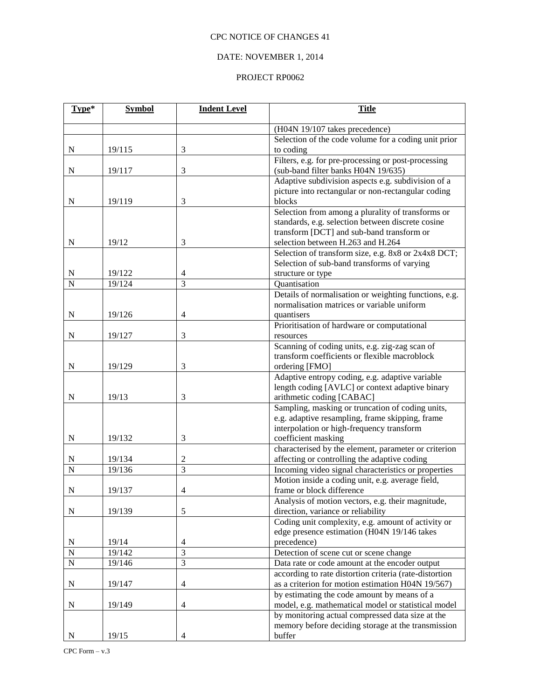# DATE: NOVEMBER 1, 2014

| Type*          | <b>Symbol</b>    | <b>Indent Level</b> | <b>Title</b>                                                                |
|----------------|------------------|---------------------|-----------------------------------------------------------------------------|
|                |                  |                     | (H04N 19/107 takes precedence)                                              |
|                |                  |                     | Selection of the code volume for a coding unit prior                        |
| ${\bf N}$      | 19/115           | 3                   | to coding                                                                   |
|                |                  |                     | Filters, e.g. for pre-processing or post-processing                         |
| ${\bf N}$      | 19/117           | $\mathfrak{Z}$      | (sub-band filter banks H04N 19/635)                                         |
|                |                  |                     | Adaptive subdivision aspects e.g. subdivision of a                          |
|                |                  |                     | picture into rectangular or non-rectangular coding                          |
| N              | 19/119           | 3                   | blocks                                                                      |
|                |                  |                     | Selection from among a plurality of transforms or                           |
|                |                  |                     | standards, e.g. selection between discrete cosine                           |
|                |                  |                     | transform [DCT] and sub-band transform or                                   |
| N              | 19/12            | 3                   | selection between H.263 and H.264                                           |
|                |                  |                     | Selection of transform size, e.g. 8x8 or 2x4x8 DCT;                         |
|                |                  |                     | Selection of sub-band transforms of varying                                 |
| N<br>N         | 19/122<br>19/124 | 4<br>3              | structure or type<br>Quantisation                                           |
|                |                  |                     | Details of normalisation or weighting functions, e.g.                       |
|                |                  |                     | normalisation matrices or variable uniform                                  |
| $\mathbf N$    | 19/126           | $\overline{4}$      | quantisers                                                                  |
|                |                  |                     | Prioritisation of hardware or computational                                 |
| N              | 19/127           | 3                   | resources                                                                   |
|                |                  |                     | Scanning of coding units, e.g. zig-zag scan of                              |
|                |                  |                     | transform coefficients or flexible macroblock                               |
| ${\bf N}$      | 19/129           | 3                   | ordering [FMO]                                                              |
|                |                  |                     | Adaptive entropy coding, e.g. adaptive variable                             |
|                |                  |                     | length coding [AVLC] or context adaptive binary                             |
| N              | 19/13            | 3                   | arithmetic coding [CABAC]                                                   |
|                |                  |                     | Sampling, masking or truncation of coding units,                            |
|                |                  |                     | e.g. adaptive resampling, frame skipping, frame                             |
|                |                  |                     | interpolation or high-frequency transform                                   |
| N              | 19/132           | 3                   | coefficient masking<br>characterised by the element, parameter or criterion |
| N              | 19/134           | 2                   | affecting or controlling the adaptive coding                                |
| $\overline{N}$ | 19/136           | 3                   | Incoming video signal characteristics or properties                         |
|                |                  |                     | Motion inside a coding unit, e.g. average field,                            |
| N              | 19/137           | 4                   | frame or block difference                                                   |
|                |                  |                     | Analysis of motion vectors, e.g. their magnitude,                           |
| ${\bf N}$      | 19/139           | 5                   | direction, variance or reliability                                          |
|                |                  |                     | Coding unit complexity, e.g. amount of activity or                          |
|                |                  |                     | edge presence estimation (H04N 19/146 takes                                 |
| ${\bf N}$      | 19/14            | 4                   | precedence)                                                                 |
| ${\bf N}$      | 19/142           | $\overline{3}$      | Detection of scene cut or scene change                                      |
| ${\bf N}$      | 19/146           | 3                   | Data rate or code amount at the encoder output                              |
|                |                  |                     | according to rate distortion criteria (rate-distortion                      |
| ${\bf N}$      | 19/147           | $\overline{4}$      | as a criterion for motion estimation H04N 19/567)                           |
|                |                  |                     | by estimating the code amount by means of a                                 |
| ${\bf N}$      | 19/149           | $\overline{4}$      | model, e.g. mathematical model or statistical model                         |
|                |                  |                     | by monitoring actual compressed data size at the                            |
|                |                  |                     | memory before deciding storage at the transmission                          |
| N              | 19/15            | 4                   | buffer                                                                      |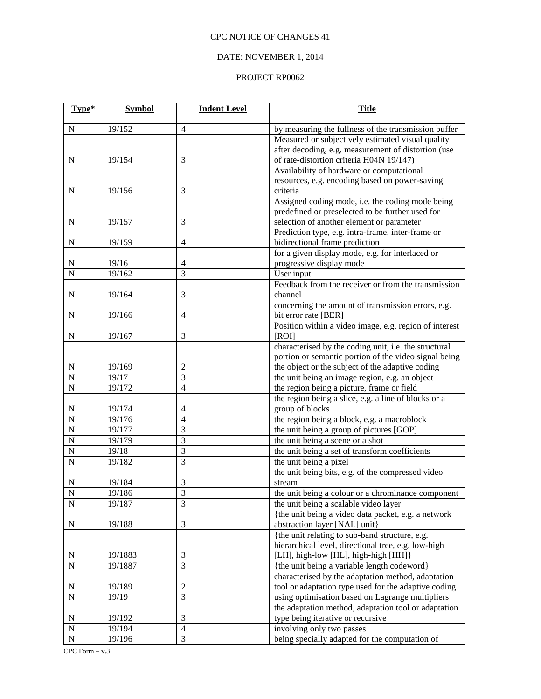# DATE: NOVEMBER 1, 2014

| Type*              | <b>Symbol</b> | <b>Indent Level</b> | <b>Title</b>                                                               |  |
|--------------------|---------------|---------------------|----------------------------------------------------------------------------|--|
| N                  | 19/152        | $\overline{4}$      | by measuring the fullness of the transmission buffer                       |  |
|                    |               |                     | Measured or subjectively estimated visual quality                          |  |
|                    |               |                     | after decoding, e.g. measurement of distortion (use                        |  |
| ${\bf N}$          | 19/154        | $\mathfrak{Z}$      | of rate-distortion criteria H04N 19/147)                                   |  |
|                    |               |                     | Availability of hardware or computational                                  |  |
|                    |               |                     | resources, e.g. encoding based on power-saving                             |  |
| N                  | 19/156        | $\mathfrak{Z}$      | criteria                                                                   |  |
|                    |               |                     | Assigned coding mode, i.e. the coding mode being                           |  |
|                    |               |                     | predefined or preselected to be further used for                           |  |
| ${\bf N}$          | 19/157        | 3                   | selection of another element or parameter                                  |  |
|                    |               |                     | Prediction type, e.g. intra-frame, inter-frame or                          |  |
| ${\bf N}$          | 19/159        | $\overline{4}$      | bidirectional frame prediction                                             |  |
|                    |               |                     | for a given display mode, e.g. for interlaced or                           |  |
| N                  | 19/16         | 4                   | progressive display mode                                                   |  |
| $\overline{N}$     | 19/162        | $\overline{3}$      | User input                                                                 |  |
|                    |               |                     | Feedback from the receiver or from the transmission                        |  |
| N                  | 19/164        | $\mathfrak{Z}$      | channel                                                                    |  |
| N                  | 19/166        | $\overline{4}$      | concerning the amount of transmission errors, e.g.<br>bit error rate [BER] |  |
|                    |               |                     | Position within a video image, e.g. region of interest                     |  |
| ${\bf N}$          | 19/167        | 3                   | [ROI]                                                                      |  |
|                    |               |                     | characterised by the coding unit, i.e. the structural                      |  |
|                    |               |                     | portion or semantic portion of the video signal being                      |  |
| ${\bf N}$          | 19/169        | 2                   | the object or the subject of the adaptive coding                           |  |
| $\overline{N}$     | 19/17         | $\overline{3}$      | the unit being an image region, e.g. an object                             |  |
| $\overline{N}$     | 19/172        | $\overline{4}$      | the region being a picture, frame or field                                 |  |
|                    |               |                     | the region being a slice, e.g. a line of blocks or a                       |  |
| ${\bf N}$          | 19/174        | 4                   | group of blocks                                                            |  |
| $\overline{\bf N}$ | 19/176        | $\overline{4}$      | the region being a block, e.g. a macroblock                                |  |
| $\overline{N}$     | 19/177        | $\mathfrak{Z}$      | the unit being a group of pictures [GOP]                                   |  |
| $\overline{N}$     | 19/179        | 3                   | the unit being a scene or a shot                                           |  |
| $\overline{N}$     | 19/18         | $\mathfrak{Z}$      | the unit being a set of transform coefficients                             |  |
| $\overline{N}$     | 19/182        | 3                   | the unit being a pixel                                                     |  |
|                    |               |                     | the unit being bits, e.g. of the compressed video                          |  |
| N                  | 19/184        | 3                   | stream                                                                     |  |
| $\overline{N}$     | 19/186        | $\overline{3}$      | the unit being a colour or a chrominance component                         |  |
| ${\bf N}$          | 19/187        | 3                   | the unit being a scalable video layer                                      |  |
|                    |               |                     | {the unit being a video data packet, e.g. a network                        |  |
| ${\bf N}$          | 19/188        | $\mathfrak{Z}$      | abstraction layer [NAL] unit}                                              |  |
|                    |               |                     | {the unit relating to sub-band structure, e.g.                             |  |
|                    |               |                     | hierarchical level, directional tree, e.g. low-high                        |  |
| N                  | 19/1883       | 3                   | [LH], high-low [HL], high-high [HH]}                                       |  |
| $\overline{N}$     | 19/1887       | 3                   | {the unit being a variable length codeword}                                |  |
|                    |               |                     | characterised by the adaptation method, adaptation                         |  |
| $\mathbf N$        | 19/189        | $\mathfrak{2}$      | tool or adaptation type used for the adaptive coding                       |  |
| $\overline{N}$     | 19/19         | $\overline{3}$      | using optimisation based on Lagrange multipliers                           |  |
|                    |               |                     | the adaptation method, adaptation tool or adaptation                       |  |
| N                  | 19/192        | 3                   | type being iterative or recursive                                          |  |
| $\overline{\bf N}$ | 19/194        | $\overline{4}$      | involving only two passes                                                  |  |
| $\overline{N}$     | 19/196        | $\mathfrak{Z}$      | being specially adapted for the computation of                             |  |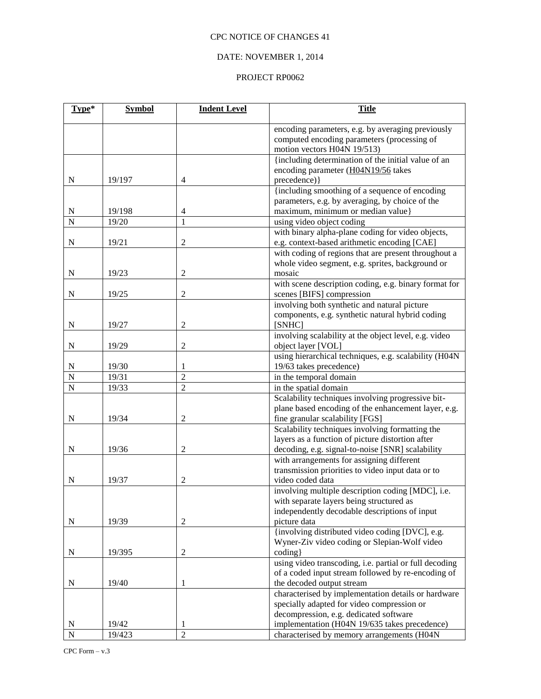## DATE: NOVEMBER 1, 2014

| Type*          | <b>Symbol</b> | <b>Indent Level</b> | <b>Title</b>                                                                                                                    |
|----------------|---------------|---------------------|---------------------------------------------------------------------------------------------------------------------------------|
|                |               |                     | encoding parameters, e.g. by averaging previously<br>computed encoding parameters (processing of<br>motion vectors H04N 19/513) |
|                |               |                     | {including determination of the initial value of an                                                                             |
|                |               |                     | encoding parameter (H04N19/56 takes                                                                                             |
| N              | 19/197        | $\overline{4}$      | precedence) }                                                                                                                   |
|                |               |                     | {including smoothing of a sequence of encoding                                                                                  |
|                |               |                     | parameters, e.g. by averaging, by choice of the                                                                                 |
| N              | 19/198        | $\overline{4}$      | maximum, minimum or median value}                                                                                               |
| $\overline{N}$ | 19/20         | $\mathbf{1}$        | using video object coding                                                                                                       |
|                |               |                     | with binary alpha-plane coding for video objects,                                                                               |
| N              | 19/21         | $\overline{c}$      | e.g. context-based arithmetic encoding [CAE]                                                                                    |
|                |               |                     | with coding of regions that are present throughout a                                                                            |
|                |               |                     | whole video segment, e.g. sprites, background or                                                                                |
| N              | 19/23         | $\boldsymbol{2}$    | mosaic                                                                                                                          |
|                |               |                     | with scene description coding, e.g. binary format for                                                                           |
| N              | 19/25         | $\overline{c}$      | scenes [BIFS] compression                                                                                                       |
|                |               |                     | involving both synthetic and natural picture                                                                                    |
|                |               |                     | components, e.g. synthetic natural hybrid coding                                                                                |
| N              | 19/27         | $\overline{c}$      | [SNHC]                                                                                                                          |
|                |               |                     | involving scalability at the object level, e.g. video                                                                           |
| $\mathbf N$    | 19/29         | $\overline{c}$      | object layer [VOL]                                                                                                              |
|                |               |                     | using hierarchical techniques, e.g. scalability (H04N                                                                           |
| N              | 19/30         | 1                   | 19/63 takes precedence)                                                                                                         |
| $\overline{N}$ | 19/31         | $\overline{2}$      | in the temporal domain                                                                                                          |
| N              | 19/33         | $\overline{2}$      | in the spatial domain                                                                                                           |
|                |               |                     | Scalability techniques involving progressive bit-                                                                               |
| ${\bf N}$      | 19/34         | $\overline{2}$      | plane based encoding of the enhancement layer, e.g.                                                                             |
|                |               |                     | fine granular scalability [FGS]<br>Scalability techniques involving formatting the                                              |
|                |               |                     | layers as a function of picture distortion after                                                                                |
|                | 19/36         | $\overline{c}$      | decoding, e.g. signal-to-noise [SNR] scalability                                                                                |
| N              |               |                     | with arrangements for assigning different                                                                                       |
|                |               |                     | transmission priorities to video input data or to                                                                               |
| N              | 19/37         | 2                   | video coded data                                                                                                                |
|                |               |                     | involving multiple description coding [MDC], i.e.                                                                               |
|                |               |                     | with separate layers being structured as                                                                                        |
|                |               |                     | independently decodable descriptions of input                                                                                   |
| N              | 19/39         | $\boldsymbol{2}$    | picture data                                                                                                                    |
|                |               |                     | {involving distributed video coding [DVC], e.g.                                                                                 |
|                |               |                     | Wyner-Ziv video coding or Slepian-Wolf video                                                                                    |
| $\mathbf N$    | 19/395        | $\boldsymbol{2}$    | coding }                                                                                                                        |
|                |               |                     | using video transcoding, i.e. partial or full decoding                                                                          |
|                |               |                     | of a coded input stream followed by re-encoding of                                                                              |
| N              | 19/40         | 1                   | the decoded output stream                                                                                                       |
|                |               |                     | characterised by implementation details or hardware                                                                             |
|                |               |                     | specially adapted for video compression or                                                                                      |
|                |               |                     | decompression, e.g. dedicated software                                                                                          |
| N              | 19/42         | 1                   | implementation (H04N 19/635 takes precedence)                                                                                   |
| N              | 19/423        | $\overline{c}$      | characterised by memory arrangements (H04N                                                                                      |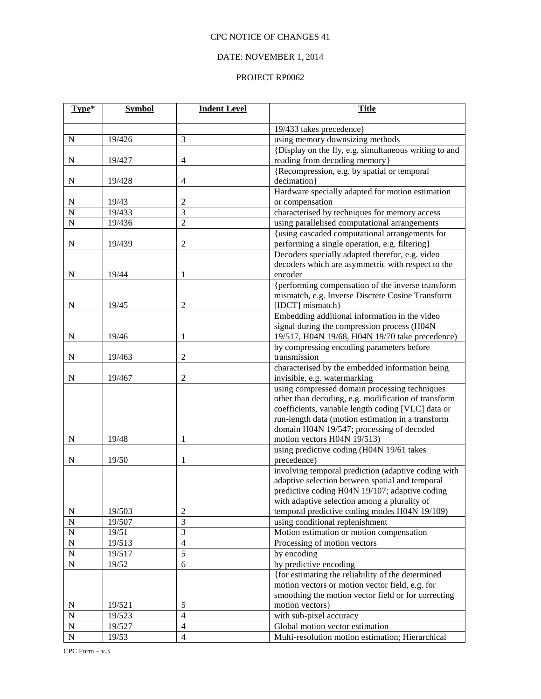## DATE: NOVEMBER 1, 2014

| Type*          | <b>Symbol</b> | <b>Indent Level</b>     | <b>Title</b>                                                                                  |  |
|----------------|---------------|-------------------------|-----------------------------------------------------------------------------------------------|--|
|                |               |                         | 19/433 takes precedence)                                                                      |  |
| N              | 19/426        | 3                       | using memory downsizing methods                                                               |  |
| N              | 19/427        | 4                       | {Display on the fly, e.g. simultaneous writing to and<br>reading from decoding memory}        |  |
|                |               |                         | {Recompression, e.g. by spatial or temporal                                                   |  |
| ${\bf N}$      | 19/428        | $\overline{4}$          | decimation}                                                                                   |  |
|                |               |                         | Hardware specially adapted for motion estimation                                              |  |
| N              | 19/43         | $\overline{c}$          | or compensation                                                                               |  |
| $\overline{N}$ | 19/433        | 3                       | characterised by techniques for memory access                                                 |  |
| $\overline{N}$ | 19/436        | $\overline{2}$          | using parallelised computational arrangements                                                 |  |
|                |               |                         | {using cascaded computational arrangements for                                                |  |
| ${\bf N}$      | 19/439        | $\boldsymbol{2}$        | performing a single operation, e.g. filtering}                                                |  |
|                |               |                         | Decoders specially adapted therefor, e.g. video                                               |  |
|                |               |                         | decoders which are asymmetric with respect to the                                             |  |
| N              | 19/44         | 1                       | encoder                                                                                       |  |
|                |               |                         | {performing compensation of the inverse transform                                             |  |
|                |               |                         | mismatch, e.g. Inverse Discrete Cosine Transform                                              |  |
| N              | 19/45         | $\mathfrak{2}$          | [IDCT] mismatch}                                                                              |  |
|                |               |                         | Embedding additional information in the video                                                 |  |
|                |               |                         | signal during the compression process (H04N                                                   |  |
| ${\bf N}$      | 19/46         | 1                       | 19/517, H04N 19/68, H04N 19/70 take precedence)                                               |  |
|                |               |                         | by compressing encoding parameters before                                                     |  |
| N              | 19/463        | $\overline{\mathbf{c}}$ | transmission                                                                                  |  |
|                |               |                         | characterised by the embedded information being                                               |  |
| N              | 19/467        | $\mathfrak{2}$          | invisible, e.g. watermarking                                                                  |  |
|                |               |                         | using compressed domain processing techniques                                                 |  |
|                |               |                         | other than decoding, e.g. modification of transform                                           |  |
|                |               |                         | coefficients, variable length coding [VLC] data or                                            |  |
|                |               |                         | run-length data (motion estimation in a transform                                             |  |
|                |               |                         | domain H04N 19/547; processing of decoded                                                     |  |
| ${\bf N}$      | 19/48         | 1                       | motion vectors H04N 19/513)                                                                   |  |
|                |               |                         | using predictive coding (H04N 19/61 takes                                                     |  |
| N              | 19/50         | 1                       | precedence)                                                                                   |  |
|                |               |                         | involving temporal prediction (adaptive coding with                                           |  |
|                |               |                         | adaptive selection between spatial and temporal                                               |  |
|                |               |                         | predictive coding H04N 19/107; adaptive coding                                                |  |
| $\mathbf N$    | 19/503        | 2                       | with adaptive selection among a plurality of<br>temporal predictive coding modes H04N 19/109) |  |
| $\mathbf N$    | 19/507        | 3                       | using conditional replenishment                                                               |  |
| $\overline{N}$ | 19/51         | $\overline{3}$          | Motion estimation or motion compensation                                                      |  |
| $\mathbf N$    | 19/513        | $\overline{4}$          | Processing of motion vectors                                                                  |  |
| $\overline{N}$ | 19/517        | $\overline{5}$          | by encoding                                                                                   |  |
| $\overline{N}$ | 19/52         | $\overline{6}$          | by predictive encoding                                                                        |  |
|                |               |                         | {for estimating the reliability of the determined                                             |  |
|                |               |                         | motion vectors or motion vector field, e.g. for                                               |  |
|                |               |                         | smoothing the motion vector field or for correcting                                           |  |
| ${\bf N}$      | 19/521        | 5                       | motion vectors }                                                                              |  |
| $\mathbf N$    | 19/523        | $\overline{4}$          | with sub-pixel accuracy                                                                       |  |
| $\mathbf N$    | 19/527        | $\overline{4}$          | Global motion vector estimation                                                               |  |
| $\overline{N}$ | 19/53         | $\overline{4}$          | Multi-resolution motion estimation; Hierarchical                                              |  |
|                |               |                         |                                                                                               |  |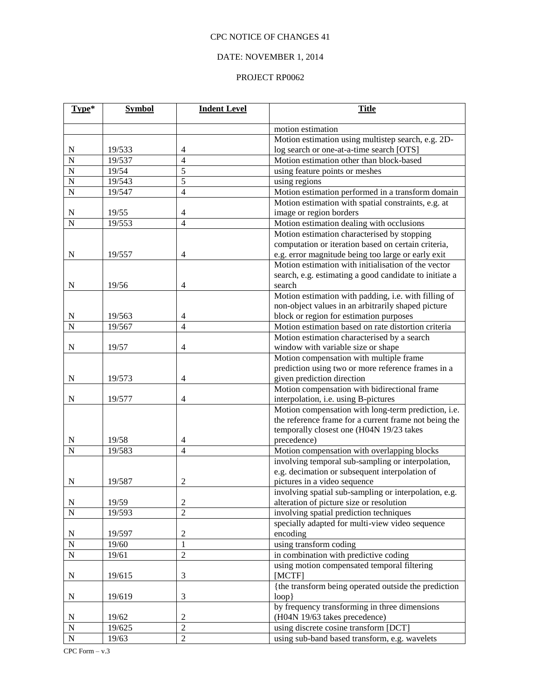## DATE: NOVEMBER 1, 2014

| motion estimation<br>Motion estimation using multistep search, e.g. 2D-<br>$\mathbf N$<br>19/533<br>4<br>log search or one-at-a-time search [OTS]<br>$\overline{N}$<br>19/537<br>Motion estimation other than block-based<br>$\overline{4}$<br>$\overline{N}$<br>19/54<br>5<br>using feature points or meshes<br>5<br>19/543<br>$\overline{N}$<br>using regions<br>$\overline{N}$<br>19/547<br>$\overline{4}$<br>Motion estimation performed in a transform domain<br>Motion estimation with spatial constraints, e.g. at<br>19/55<br>image or region borders<br>N<br>4<br>$\overline{N}$<br>Motion estimation dealing with occlusions<br>19/553<br>$\overline{4}$<br>Motion estimation characterised by stopping<br>computation or iteration based on certain criteria,<br>19/557<br>N<br>$\overline{4}$<br>e.g. error magnitude being too large or early exit<br>Motion estimation with initialisation of the vector<br>search, e.g. estimating a good candidate to initiate a<br>search<br>${\bf N}$<br>19/56<br>$\overline{4}$<br>Motion estimation with padding, i.e. with filling of<br>non-object values in an arbitrarily shaped picture<br>19/563<br>block or region for estimation purposes<br>N<br>4<br>Motion estimation based on rate distortion criteria<br>N<br>19/567<br>$\overline{4}$<br>Motion estimation characterised by a search<br>window with variable size or shape<br>${\bf N}$<br>19/57<br>$\overline{4}$ | Type* | <b>Symbol</b> | <b>Indent Level</b> | <b>Title</b> |  |
|--------------------------------------------------------------------------------------------------------------------------------------------------------------------------------------------------------------------------------------------------------------------------------------------------------------------------------------------------------------------------------------------------------------------------------------------------------------------------------------------------------------------------------------------------------------------------------------------------------------------------------------------------------------------------------------------------------------------------------------------------------------------------------------------------------------------------------------------------------------------------------------------------------------------------------------------------------------------------------------------------------------------------------------------------------------------------------------------------------------------------------------------------------------------------------------------------------------------------------------------------------------------------------------------------------------------------------------------------------------------------------------------------------------------------------------|-------|---------------|---------------------|--------------|--|
|                                                                                                                                                                                                                                                                                                                                                                                                                                                                                                                                                                                                                                                                                                                                                                                                                                                                                                                                                                                                                                                                                                                                                                                                                                                                                                                                                                                                                                      |       |               |                     |              |  |
|                                                                                                                                                                                                                                                                                                                                                                                                                                                                                                                                                                                                                                                                                                                                                                                                                                                                                                                                                                                                                                                                                                                                                                                                                                                                                                                                                                                                                                      |       |               |                     |              |  |
|                                                                                                                                                                                                                                                                                                                                                                                                                                                                                                                                                                                                                                                                                                                                                                                                                                                                                                                                                                                                                                                                                                                                                                                                                                                                                                                                                                                                                                      |       |               |                     |              |  |
|                                                                                                                                                                                                                                                                                                                                                                                                                                                                                                                                                                                                                                                                                                                                                                                                                                                                                                                                                                                                                                                                                                                                                                                                                                                                                                                                                                                                                                      |       |               |                     |              |  |
|                                                                                                                                                                                                                                                                                                                                                                                                                                                                                                                                                                                                                                                                                                                                                                                                                                                                                                                                                                                                                                                                                                                                                                                                                                                                                                                                                                                                                                      |       |               |                     |              |  |
|                                                                                                                                                                                                                                                                                                                                                                                                                                                                                                                                                                                                                                                                                                                                                                                                                                                                                                                                                                                                                                                                                                                                                                                                                                                                                                                                                                                                                                      |       |               |                     |              |  |
|                                                                                                                                                                                                                                                                                                                                                                                                                                                                                                                                                                                                                                                                                                                                                                                                                                                                                                                                                                                                                                                                                                                                                                                                                                                                                                                                                                                                                                      |       |               |                     |              |  |
|                                                                                                                                                                                                                                                                                                                                                                                                                                                                                                                                                                                                                                                                                                                                                                                                                                                                                                                                                                                                                                                                                                                                                                                                                                                                                                                                                                                                                                      |       |               |                     |              |  |
|                                                                                                                                                                                                                                                                                                                                                                                                                                                                                                                                                                                                                                                                                                                                                                                                                                                                                                                                                                                                                                                                                                                                                                                                                                                                                                                                                                                                                                      |       |               |                     |              |  |
|                                                                                                                                                                                                                                                                                                                                                                                                                                                                                                                                                                                                                                                                                                                                                                                                                                                                                                                                                                                                                                                                                                                                                                                                                                                                                                                                                                                                                                      |       |               |                     |              |  |
|                                                                                                                                                                                                                                                                                                                                                                                                                                                                                                                                                                                                                                                                                                                                                                                                                                                                                                                                                                                                                                                                                                                                                                                                                                                                                                                                                                                                                                      |       |               |                     |              |  |
|                                                                                                                                                                                                                                                                                                                                                                                                                                                                                                                                                                                                                                                                                                                                                                                                                                                                                                                                                                                                                                                                                                                                                                                                                                                                                                                                                                                                                                      |       |               |                     |              |  |
|                                                                                                                                                                                                                                                                                                                                                                                                                                                                                                                                                                                                                                                                                                                                                                                                                                                                                                                                                                                                                                                                                                                                                                                                                                                                                                                                                                                                                                      |       |               |                     |              |  |
|                                                                                                                                                                                                                                                                                                                                                                                                                                                                                                                                                                                                                                                                                                                                                                                                                                                                                                                                                                                                                                                                                                                                                                                                                                                                                                                                                                                                                                      |       |               |                     |              |  |
|                                                                                                                                                                                                                                                                                                                                                                                                                                                                                                                                                                                                                                                                                                                                                                                                                                                                                                                                                                                                                                                                                                                                                                                                                                                                                                                                                                                                                                      |       |               |                     |              |  |
|                                                                                                                                                                                                                                                                                                                                                                                                                                                                                                                                                                                                                                                                                                                                                                                                                                                                                                                                                                                                                                                                                                                                                                                                                                                                                                                                                                                                                                      |       |               |                     |              |  |
|                                                                                                                                                                                                                                                                                                                                                                                                                                                                                                                                                                                                                                                                                                                                                                                                                                                                                                                                                                                                                                                                                                                                                                                                                                                                                                                                                                                                                                      |       |               |                     |              |  |
|                                                                                                                                                                                                                                                                                                                                                                                                                                                                                                                                                                                                                                                                                                                                                                                                                                                                                                                                                                                                                                                                                                                                                                                                                                                                                                                                                                                                                                      |       |               |                     |              |  |
|                                                                                                                                                                                                                                                                                                                                                                                                                                                                                                                                                                                                                                                                                                                                                                                                                                                                                                                                                                                                                                                                                                                                                                                                                                                                                                                                                                                                                                      |       |               |                     |              |  |
|                                                                                                                                                                                                                                                                                                                                                                                                                                                                                                                                                                                                                                                                                                                                                                                                                                                                                                                                                                                                                                                                                                                                                                                                                                                                                                                                                                                                                                      |       |               |                     |              |  |
|                                                                                                                                                                                                                                                                                                                                                                                                                                                                                                                                                                                                                                                                                                                                                                                                                                                                                                                                                                                                                                                                                                                                                                                                                                                                                                                                                                                                                                      |       |               |                     |              |  |
|                                                                                                                                                                                                                                                                                                                                                                                                                                                                                                                                                                                                                                                                                                                                                                                                                                                                                                                                                                                                                                                                                                                                                                                                                                                                                                                                                                                                                                      |       |               |                     |              |  |
|                                                                                                                                                                                                                                                                                                                                                                                                                                                                                                                                                                                                                                                                                                                                                                                                                                                                                                                                                                                                                                                                                                                                                                                                                                                                                                                                                                                                                                      |       |               |                     |              |  |
| Motion compensation with multiple frame                                                                                                                                                                                                                                                                                                                                                                                                                                                                                                                                                                                                                                                                                                                                                                                                                                                                                                                                                                                                                                                                                                                                                                                                                                                                                                                                                                                              |       |               |                     |              |  |
| prediction using two or more reference frames in a                                                                                                                                                                                                                                                                                                                                                                                                                                                                                                                                                                                                                                                                                                                                                                                                                                                                                                                                                                                                                                                                                                                                                                                                                                                                                                                                                                                   |       |               |                     |              |  |
| given prediction direction<br>$\mathbf N$<br>19/573<br>$\overline{4}$                                                                                                                                                                                                                                                                                                                                                                                                                                                                                                                                                                                                                                                                                                                                                                                                                                                                                                                                                                                                                                                                                                                                                                                                                                                                                                                                                                |       |               |                     |              |  |
| Motion compensation with bidirectional frame                                                                                                                                                                                                                                                                                                                                                                                                                                                                                                                                                                                                                                                                                                                                                                                                                                                                                                                                                                                                                                                                                                                                                                                                                                                                                                                                                                                         |       |               |                     |              |  |
| interpolation, i.e. using B-pictures<br>$\mathbf N$<br>19/577<br>$\overline{4}$                                                                                                                                                                                                                                                                                                                                                                                                                                                                                                                                                                                                                                                                                                                                                                                                                                                                                                                                                                                                                                                                                                                                                                                                                                                                                                                                                      |       |               |                     |              |  |
| Motion compensation with long-term prediction, i.e.                                                                                                                                                                                                                                                                                                                                                                                                                                                                                                                                                                                                                                                                                                                                                                                                                                                                                                                                                                                                                                                                                                                                                                                                                                                                                                                                                                                  |       |               |                     |              |  |
| the reference frame for a current frame not being the<br>temporally closest one (H04N 19/23 takes                                                                                                                                                                                                                                                                                                                                                                                                                                                                                                                                                                                                                                                                                                                                                                                                                                                                                                                                                                                                                                                                                                                                                                                                                                                                                                                                    |       |               |                     |              |  |
| 19/58<br>precedence)<br>N<br>4                                                                                                                                                                                                                                                                                                                                                                                                                                                                                                                                                                                                                                                                                                                                                                                                                                                                                                                                                                                                                                                                                                                                                                                                                                                                                                                                                                                                       |       |               |                     |              |  |
| N<br>19/583<br>$\overline{4}$<br>Motion compensation with overlapping blocks                                                                                                                                                                                                                                                                                                                                                                                                                                                                                                                                                                                                                                                                                                                                                                                                                                                                                                                                                                                                                                                                                                                                                                                                                                                                                                                                                         |       |               |                     |              |  |
| involving temporal sub-sampling or interpolation,                                                                                                                                                                                                                                                                                                                                                                                                                                                                                                                                                                                                                                                                                                                                                                                                                                                                                                                                                                                                                                                                                                                                                                                                                                                                                                                                                                                    |       |               |                     |              |  |
| e.g. decimation or subsequent interpolation of                                                                                                                                                                                                                                                                                                                                                                                                                                                                                                                                                                                                                                                                                                                                                                                                                                                                                                                                                                                                                                                                                                                                                                                                                                                                                                                                                                                       |       |               |                     |              |  |
| 19/587<br>pictures in a video sequence<br>$\mathbf N$<br>2                                                                                                                                                                                                                                                                                                                                                                                                                                                                                                                                                                                                                                                                                                                                                                                                                                                                                                                                                                                                                                                                                                                                                                                                                                                                                                                                                                           |       |               |                     |              |  |
| involving spatial sub-sampling or interpolation, e.g.                                                                                                                                                                                                                                                                                                                                                                                                                                                                                                                                                                                                                                                                                                                                                                                                                                                                                                                                                                                                                                                                                                                                                                                                                                                                                                                                                                                |       |               |                     |              |  |
| 19/59<br>$\overline{c}$<br>alteration of picture size or resolution<br>N                                                                                                                                                                                                                                                                                                                                                                                                                                                                                                                                                                                                                                                                                                                                                                                                                                                                                                                                                                                                                                                                                                                                                                                                                                                                                                                                                             |       |               |                     |              |  |
| $\overline{2}$<br>$\overline{N}$<br>19/593<br>involving spatial prediction techniques                                                                                                                                                                                                                                                                                                                                                                                                                                                                                                                                                                                                                                                                                                                                                                                                                                                                                                                                                                                                                                                                                                                                                                                                                                                                                                                                                |       |               |                     |              |  |
| specially adapted for multi-view video sequence                                                                                                                                                                                                                                                                                                                                                                                                                                                                                                                                                                                                                                                                                                                                                                                                                                                                                                                                                                                                                                                                                                                                                                                                                                                                                                                                                                                      |       |               |                     |              |  |
| $\boldsymbol{2}$<br>N<br>19/597                                                                                                                                                                                                                                                                                                                                                                                                                                                                                                                                                                                                                                                                                                                                                                                                                                                                                                                                                                                                                                                                                                                                                                                                                                                                                                                                                                                                      |       |               |                     | encoding     |  |
| $\overline{\rm N}$<br>19/60<br>$\mathbf{1}$<br>using transform coding                                                                                                                                                                                                                                                                                                                                                                                                                                                                                                                                                                                                                                                                                                                                                                                                                                                                                                                                                                                                                                                                                                                                                                                                                                                                                                                                                                |       |               |                     |              |  |
| $\overline{N}$<br>in combination with predictive coding<br>19/61<br>$\overline{c}$                                                                                                                                                                                                                                                                                                                                                                                                                                                                                                                                                                                                                                                                                                                                                                                                                                                                                                                                                                                                                                                                                                                                                                                                                                                                                                                                                   |       |               |                     |              |  |
| using motion compensated temporal filtering                                                                                                                                                                                                                                                                                                                                                                                                                                                                                                                                                                                                                                                                                                                                                                                                                                                                                                                                                                                                                                                                                                                                                                                                                                                                                                                                                                                          |       |               |                     |              |  |
| [MCTF]<br>${\bf N}$<br>19/615<br>3                                                                                                                                                                                                                                                                                                                                                                                                                                                                                                                                                                                                                                                                                                                                                                                                                                                                                                                                                                                                                                                                                                                                                                                                                                                                                                                                                                                                   |       |               |                     |              |  |
| {the transform being operated outside the prediction                                                                                                                                                                                                                                                                                                                                                                                                                                                                                                                                                                                                                                                                                                                                                                                                                                                                                                                                                                                                                                                                                                                                                                                                                                                                                                                                                                                 |       |               |                     |              |  |
| 3<br>$loop$ }<br>N<br>19/619                                                                                                                                                                                                                                                                                                                                                                                                                                                                                                                                                                                                                                                                                                                                                                                                                                                                                                                                                                                                                                                                                                                                                                                                                                                                                                                                                                                                         |       |               |                     |              |  |
| by frequency transforming in three dimensions                                                                                                                                                                                                                                                                                                                                                                                                                                                                                                                                                                                                                                                                                                                                                                                                                                                                                                                                                                                                                                                                                                                                                                                                                                                                                                                                                                                        |       |               |                     |              |  |
| (H04N 19/63 takes precedence)<br>19/62<br>$\overline{c}$<br>N                                                                                                                                                                                                                                                                                                                                                                                                                                                                                                                                                                                                                                                                                                                                                                                                                                                                                                                                                                                                                                                                                                                                                                                                                                                                                                                                                                        |       |               |                     |              |  |
| $\overline{2}$<br>$\overline{N}$<br>19/625<br>using discrete cosine transform [DCT]                                                                                                                                                                                                                                                                                                                                                                                                                                                                                                                                                                                                                                                                                                                                                                                                                                                                                                                                                                                                                                                                                                                                                                                                                                                                                                                                                  |       |               |                     |              |  |
| $\overline{\rm N}$<br>$\overline{2}$<br>19/63<br>using sub-band based transform, e.g. wavelets                                                                                                                                                                                                                                                                                                                                                                                                                                                                                                                                                                                                                                                                                                                                                                                                                                                                                                                                                                                                                                                                                                                                                                                                                                                                                                                                       |       |               |                     |              |  |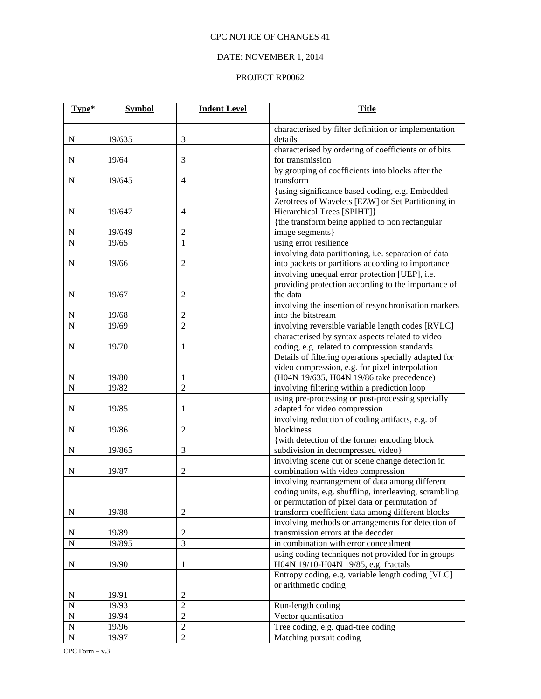# DATE: NOVEMBER 1, 2014

| Type*                       | <b>Symbol</b>  | <b>Indent Level</b>              | <b>Title</b>                                                                                          |
|-----------------------------|----------------|----------------------------------|-------------------------------------------------------------------------------------------------------|
|                             |                |                                  | characterised by filter definition or implementation                                                  |
| ${\bf N}$                   | 19/635         | 3                                | details                                                                                               |
|                             |                |                                  | characterised by ordering of coefficients or of bits                                                  |
| ${\bf N}$                   | 19/64          | 3                                | for transmission                                                                                      |
|                             |                |                                  | by grouping of coefficients into blocks after the                                                     |
| ${\bf N}$                   | 19/645         | 4                                | transform                                                                                             |
|                             |                |                                  | {using significance based coding, e.g. Embedded<br>Zerotrees of Wavelets [EZW] or Set Partitioning in |
| ${\bf N}$                   | 19/647         | 4                                | Hierarchical Trees [SPIHT]}                                                                           |
|                             |                |                                  | {the transform being applied to non rectangular                                                       |
| N                           | 19/649         | $\mathfrak{2}$                   | image segments]                                                                                       |
| $\overline{N}$              | 19/65          | $\mathbf{1}$                     | using error resilience                                                                                |
|                             |                |                                  | involving data partitioning, i.e. separation of data                                                  |
| $\mathbf N$                 | 19/66          | $\mathfrak{2}$                   | into packets or partitions according to importance                                                    |
|                             |                |                                  | involving unequal error protection [UEP], i.e.                                                        |
|                             |                |                                  | providing protection according to the importance of                                                   |
| $\mathbf N$                 | 19/67          | $\overline{c}$                   | the data                                                                                              |
|                             |                |                                  | involving the insertion of resynchronisation markers                                                  |
| N                           | 19/68          | 2                                | into the bitstream                                                                                    |
| $\overline{N}$              | 19/69          | $\overline{c}$                   | involving reversible variable length codes [RVLC]<br>characterised by syntax aspects related to video |
| $\mathbf N$                 | 19/70          | 1                                | coding, e.g. related to compression standards                                                         |
|                             |                |                                  | Details of filtering operations specially adapted for                                                 |
|                             |                |                                  | video compression, e.g. for pixel interpolation                                                       |
| N                           | 19/80          | 1                                | (H04N 19/635, H04N 19/86 take precedence)                                                             |
| N                           | 19/82          | $\overline{2}$                   | involving filtering within a prediction loop                                                          |
|                             |                |                                  | using pre-processing or post-processing specially                                                     |
| ${\bf N}$                   | 19/85          | 1                                | adapted for video compression                                                                         |
|                             |                |                                  | involving reduction of coding artifacts, e.g. of                                                      |
| ${\bf N}$                   | 19/86          | $\overline{c}$                   | blockiness                                                                                            |
|                             |                |                                  | {with detection of the former encoding block                                                          |
| ${\bf N}$                   | 19/865         | 3                                | subdivision in decompressed video}                                                                    |
|                             |                |                                  | involving scene cut or scene change detection in                                                      |
| N                           | 19/87          | $\overline{c}$                   | combination with video compression<br>involving rearrangement of data among different                 |
|                             |                |                                  | coding units, e.g. shuffling, interleaving, scrambling                                                |
|                             |                |                                  | or permutation of pixel data or permutation of                                                        |
| $\mathbf N$                 | 19/88          | 2                                | transform coefficient data among different blocks                                                     |
|                             |                |                                  | involving methods or arrangements for detection of                                                    |
| ${\bf N}$                   | 19/89          | $\mathfrak{2}$                   | transmission errors at the decoder                                                                    |
| $\overline{N}$              | 19/895         | $\overline{3}$                   | in combination with error concealment                                                                 |
|                             |                |                                  | using coding techniques not provided for in groups                                                    |
| ${\bf N}$                   | 19/90          | 1                                | H04N 19/10-H04N 19/85, e.g. fractals                                                                  |
|                             |                |                                  | Entropy coding, e.g. variable length coding [VLC]                                                     |
|                             |                |                                  | or arithmetic coding                                                                                  |
| ${\bf N}$<br>$\overline{N}$ | 19/91<br>19/93 | $\overline{c}$<br>$\overline{2}$ |                                                                                                       |
| $\overline{N}$              | 19/94          | $\overline{2}$                   | Run-length coding<br>Vector quantisation                                                              |
| $\mathbf N$                 | 19/96          | $\overline{2}$                   | Tree coding, e.g. quad-tree coding                                                                    |
| $\overline{N}$              | 19/97          | $\overline{2}$                   | Matching pursuit coding                                                                               |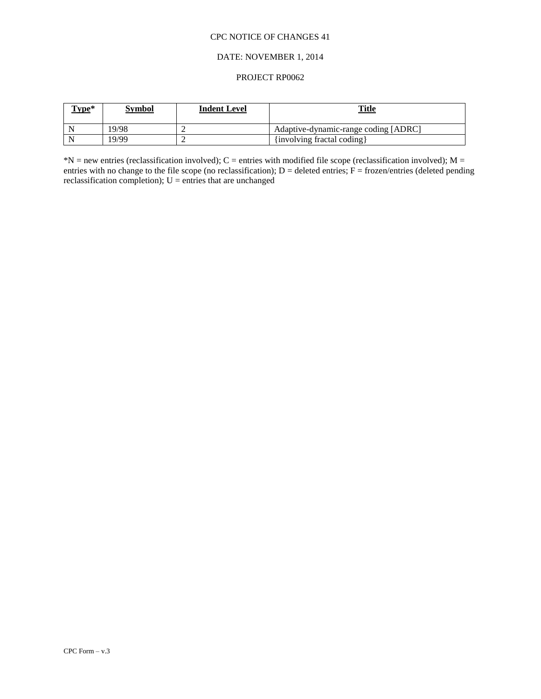#### DATE: NOVEMBER 1, 2014

#### PROJECT RP0062

| Type* | Symbol | <b>Indent Level</b> | <b>Title</b>                         |
|-------|--------|---------------------|--------------------------------------|
| N     | 19/98  |                     | Adaptive-dynamic-range coding [ADRC] |
| -N    | 19/99  |                     | {involving fractal coding}           |

 $N =$  new entries (reclassification involved); C = entries with modified file scope (reclassification involved); M = entries with no change to the file scope (no reclassification);  $D =$  deleted entries;  $F =$  frozen/entries (deleted pending reclassification completion);  $U =$  entries that are unchanged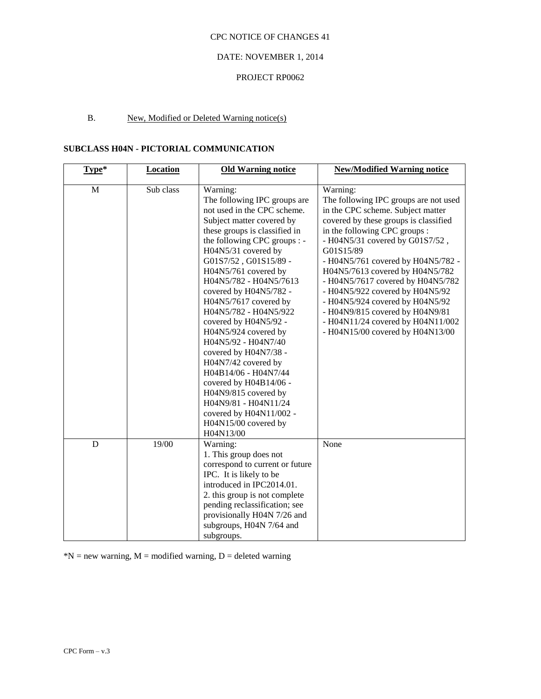#### DATE: NOVEMBER 1, 2014

# PROJECT RP0062

# B. New, Modified or Deleted Warning notice(s)

# **SUBCLASS H04N - PICTORIAL COMMUNICATION**

| Type*       | <b>Location</b> | <b>Old Warning notice</b>                                                                                                                                                                                                                                                                                                                                                                                                                                                                                                                                                                                                                     | <b>New/Modified Warning notice</b>                                                                                                                                                                                                                                                                                                                                                                                                                                                                               |
|-------------|-----------------|-----------------------------------------------------------------------------------------------------------------------------------------------------------------------------------------------------------------------------------------------------------------------------------------------------------------------------------------------------------------------------------------------------------------------------------------------------------------------------------------------------------------------------------------------------------------------------------------------------------------------------------------------|------------------------------------------------------------------------------------------------------------------------------------------------------------------------------------------------------------------------------------------------------------------------------------------------------------------------------------------------------------------------------------------------------------------------------------------------------------------------------------------------------------------|
| $\mathbf M$ | Sub class       | Warning:<br>The following IPC groups are<br>not used in the CPC scheme.<br>Subject matter covered by<br>these groups is classified in<br>the following CPC groups : -<br>H04N5/31 covered by<br>G01S7/52, G01S15/89 -<br>H04N5/761 covered by<br>H04N5/782 - H04N5/7613<br>covered by H04N5/782 -<br>H04N5/7617 covered by<br>H04N5/782 - H04N5/922<br>covered by H04N5/92 -<br>H04N5/924 covered by<br>H04N5/92 - H04N7/40<br>covered by H04N7/38 -<br>H04N7/42 covered by<br>H04B14/06 - H04N7/44<br>covered by H04B14/06 -<br>H04N9/815 covered by<br>H04N9/81 - H04N11/24<br>covered by H04N11/002 -<br>H04N15/00 covered by<br>H04N13/00 | Warning:<br>The following IPC groups are not used<br>in the CPC scheme. Subject matter<br>covered by these groups is classified<br>in the following CPC groups :<br>- H04N5/31 covered by G01S7/52,<br>G01S15/89<br>- H04N5/761 covered by H04N5/782 -<br>H04N5/7613 covered by H04N5/782<br>- H04N5/7617 covered by H04N5/782<br>- H04N5/922 covered by H04N5/92<br>- H04N5/924 covered by H04N5/92<br>- H04N9/815 covered by H04N9/81<br>- H04N11/24 covered by H04N11/002<br>- H04N15/00 covered by H04N13/00 |
| D           | 19/00           | Warning:<br>1. This group does not<br>correspond to current or future<br>IPC. It is likely to be<br>introduced in IPC2014.01.<br>2. this group is not complete<br>pending reclassification; see<br>provisionally H04N 7/26 and<br>subgroups, H04N 7/64 and<br>subgroups.                                                                                                                                                                                                                                                                                                                                                                      | None                                                                                                                                                                                                                                                                                                                                                                                                                                                                                                             |

 $N = new warning, M = modified warning, D = deleted warning$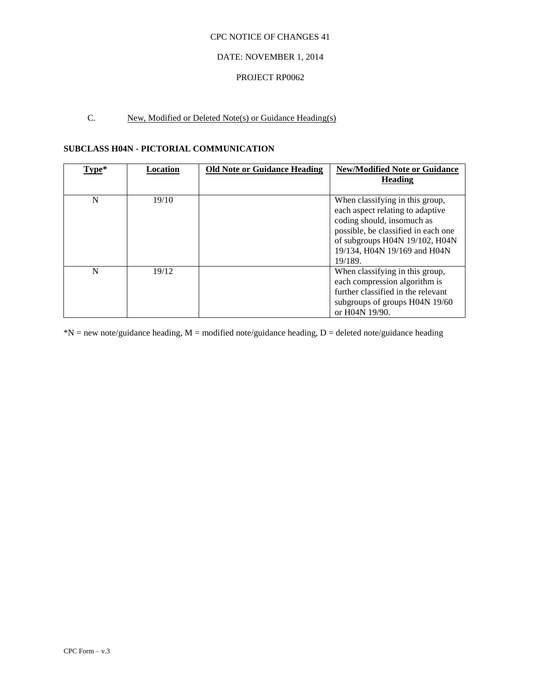### DATE: NOVEMBER 1, 2014

#### PROJECT RP0062

# C. New, Modified or Deleted Note(s) or Guidance Heading(s)

# **SUBCLASS H04N - PICTORIAL COMMUNICATION**

| Type* | Location | <b>Old Note or Guidance Heading</b> | <b>New/Modified Note or Guidance</b><br><b>Heading</b>                                                                                                                                                                |
|-------|----------|-------------------------------------|-----------------------------------------------------------------------------------------------------------------------------------------------------------------------------------------------------------------------|
| N     | 19/10    |                                     | When classifying in this group,<br>each aspect relating to adaptive<br>coding should, insomuch as<br>possible, be classified in each one<br>of subgroups H04N 19/102, H04N<br>19/134, H04N 19/169 and H04N<br>19/189. |
| N     | 19/12    |                                     | When classifying in this group,<br>each compression algorithm is<br>further classified in the relevant<br>subgroups of groups H04N 19/60<br>or H04N 19/90.                                                            |

 $*N$  = new note/guidance heading, M = modified note/guidance heading, D = deleted note/guidance heading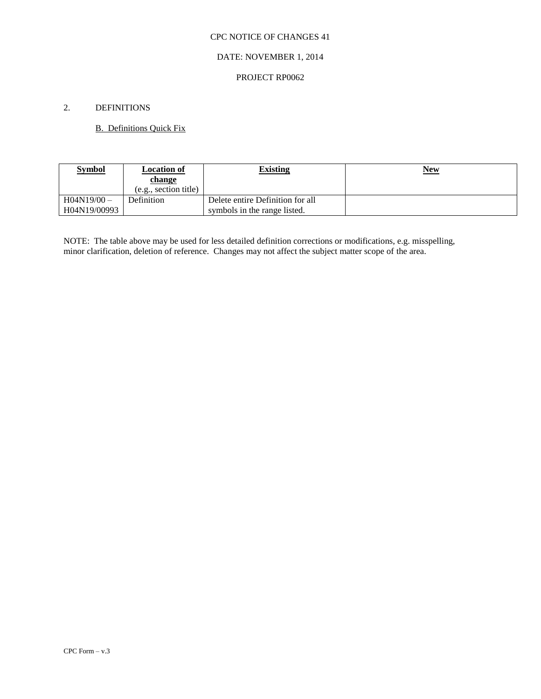#### DATE: NOVEMBER 1, 2014

#### PROJECT RP0062

# 2. DEFINITIONS

## B. Definitions Quick Fix

| <b>Symbol</b> | <b>Location of</b>    | <b>Existing</b>                  | <u>New</u> |
|---------------|-----------------------|----------------------------------|------------|
|               | change                |                                  |            |
|               | (e.g., section title) |                                  |            |
| $H04N19/00 -$ | Definition            | Delete entire Definition for all |            |
| H04N19/00993  |                       | symbols in the range listed.     |            |

NOTE: The table above may be used for less detailed definition corrections or modifications, e.g. misspelling, minor clarification, deletion of reference. Changes may not affect the subject matter scope of the area.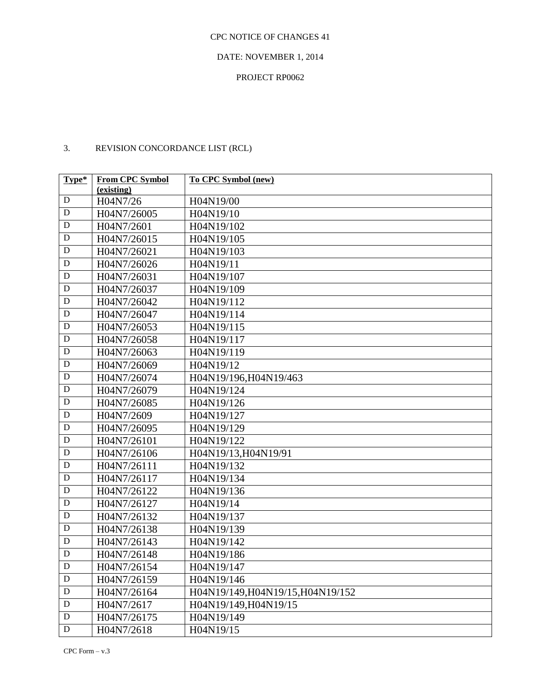#### DATE: NOVEMBER 1, 2014

## PROJECT RP0062

# 3. REVISION CONCORDANCE LIST (RCL)

| Type*       | <b>From CPC Symbol</b><br>(existing) | To CPC Symbol (new)               |
|-------------|--------------------------------------|-----------------------------------|
| D           | H04N7/26                             | H04N19/00                         |
| $\mathbf D$ | H04N7/26005                          | H04N19/10                         |
| D           | H04N7/2601                           | H04N19/102                        |
| D           | H04N7/26015                          | H04N19/105                        |
| D           | H04N7/26021                          | H04N19/103                        |
| $\mathbf D$ | H04N7/26026                          | H04N19/11                         |
| D           | H04N7/26031                          | H04N19/107                        |
| D           | H04N7/26037                          | H04N19/109                        |
| D           | H04N7/26042                          | H04N19/112                        |
| $\mathbf D$ | H04N7/26047                          | H04N19/114                        |
| $\mathbf D$ | H04N7/26053                          | H04N19/115                        |
| ${\bf D}$   | H04N7/26058                          | H04N19/117                        |
| D           | H04N7/26063                          | H04N19/119                        |
| $\mathbf D$ | H04N7/26069                          | H04N19/12                         |
| $\mathbf D$ | H04N7/26074                          | H04N19/196, H04N19/463            |
| D           | H04N7/26079                          | H04N19/124                        |
| D           | H04N7/26085                          | H04N19/126                        |
| $\mathbf D$ | H04N7/2609                           | H04N19/127                        |
| $\mathbf D$ | H04N7/26095                          | H04N19/129                        |
| D           | H04N7/26101                          | H04N19/122                        |
| D           | H04N7/26106                          | H04N19/13, H04N19/91              |
| D           | H04N7/26111                          | H04N19/132                        |
| $\mathbf D$ | H04N7/26117                          | H04N19/134                        |
| $\mathbf D$ | H04N7/26122                          | H04N19/136                        |
| D           | H04N7/26127                          | H04N19/14                         |
| D           | H04N7/26132                          | H04N19/137                        |
| $\mathbf D$ | H04N7/26138                          | H04N19/139                        |
| $\mathbf D$ | H04N7/26143                          | H04N19/142                        |
| D           | H04N7/26148                          | H04N19/186                        |
| ${\bf D}$   | H04N7/26154                          | H04N19/147                        |
| D           | H04N7/26159                          | H04N19/146                        |
| ${\bf D}$   | H04N7/26164                          | H04N19/149, H04N19/15, H04N19/152 |
| $\mathbf D$ | H04N7/2617                           | H04N19/149, H04N19/15             |
| ${\bf D}$   | H04N7/26175                          | H04N19/149                        |
| ${\bf D}$   | H04N7/2618                           | H04N19/15                         |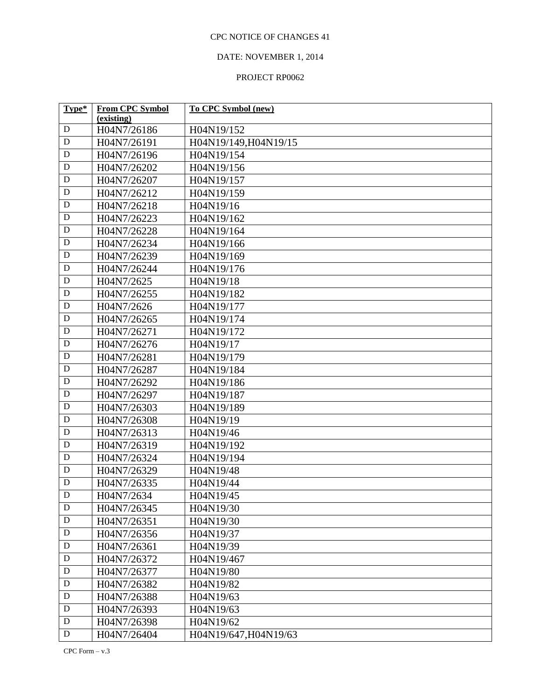# DATE: NOVEMBER 1, 2014

| Type*       | <b>From CPC Symbol</b> | <b>To CPC Symbol (new)</b> |
|-------------|------------------------|----------------------------|
|             | (existing)             |                            |
| D           | H04N7/26186            | H04N19/152                 |
| $\mathbf D$ | H04N7/26191            | H04N19/149, H04N19/15      |
| ${\bf D}$   | H04N7/26196            | H04N19/154                 |
| ${\bf D}$   | H04N7/26202            | H04N19/156                 |
| ${\bf D}$   | H04N7/26207            | H04N19/157                 |
| D           | H04N7/26212            | H04N19/159                 |
| D           | H04N7/26218            | H04N19/16                  |
| $\mathbf D$ | H04N7/26223            | H04N19/162                 |
| $\mathbf D$ | H04N7/26228            | H04N19/164                 |
| $\mathbf D$ | H04N7/26234            | H04N19/166                 |
| $\mathbf D$ | H04N7/26239            | H04N19/169                 |
| ${\bf D}$   | H04N7/26244            | H04N19/176                 |
| $\mathbf D$ | H04N7/2625             | H04N19/18                  |
| ${\bf D}$   | H04N7/26255            | H04N19/182                 |
| $\mathbf D$ | H04N7/2626             | H04N19/177                 |
| $\mathbf D$ | H04N7/26265            | H04N19/174                 |
| ${\bf D}$   | H04N7/26271            | H04N19/172                 |
| ${\bf D}$   | H04N7/26276            | H04N19/17                  |
| $\mathbf D$ | H04N7/26281            | H04N19/179                 |
| ${\bf D}$   | H04N7/26287            | H04N19/184                 |
| ${\bf D}$   | H04N7/26292            | H04N19/186                 |
| $\mathbf D$ | H04N7/26297            | H04N19/187                 |
| ${\bf D}$   | H04N7/26303            | H04N19/189                 |
| $\mathbf D$ | H04N7/26308            | H04N19/19                  |
| $\mathbf D$ | H04N7/26313            | H04N19/46                  |
| D           | H04N7/26319            | H04N19/192                 |
| $\mathbf D$ | H04N7/26324            | H04N19/194                 |
| D           | H04N7/26329            | H04N19/48                  |
| ${\bf D}$   | H04N7/26335            | H04N19/44                  |
| $\mathbf D$ | H04N7/2634             | H04N19/45                  |
| $\mathbf D$ | H04N7/26345            | H04N19/30                  |
| $\mathbf D$ | H04N7/26351            | H04N19/30                  |
| ${\bf D}$   | H04N7/26356            | H04N19/37                  |
| $\mathbf D$ | H04N7/26361            | H04N19/39                  |
| D           | H04N7/26372            | H04N19/467                 |
| $\mathbf D$ | H04N7/26377            | H04N19/80                  |
| D           | H04N7/26382            | H04N19/82                  |
| D           | H04N7/26388            | H04N19/63                  |
| $\mathbf D$ | H04N7/26393            | H04N19/63                  |
| $\mathbf D$ | H04N7/26398            | H04N19/62                  |
| $\mathbf D$ | H04N7/26404            | H04N19/647, H04N19/63      |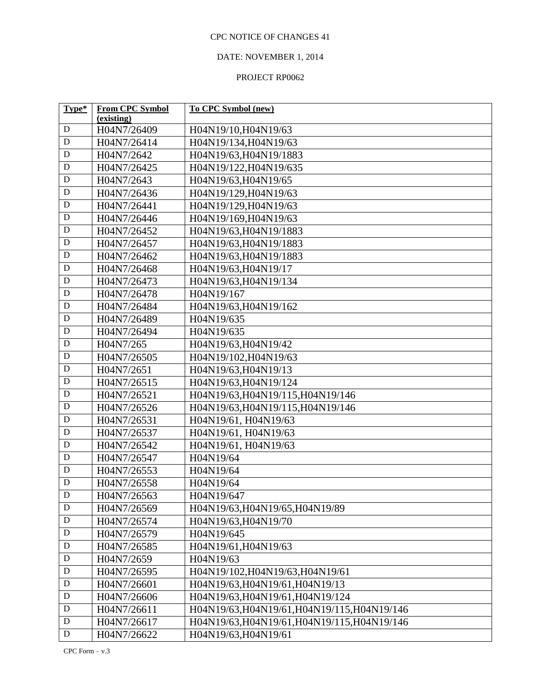# DATE: NOVEMBER 1, 2014

| Type*            | <b>From CPC Symbol</b> | To CPC Symbol (new)                          |  |
|------------------|------------------------|----------------------------------------------|--|
|                  | (existing)             |                                              |  |
| $\mathbf D$<br>D | H04N7/26409            | H04N19/10, H04N19/63                         |  |
|                  | H04N7/26414            | H04N19/134, H04N19/63                        |  |
| ${\bf D}$        | H04N7/2642             | H04N19/63, H04N19/1883                       |  |
| $\mathbf D$      | H04N7/26425            | H04N19/122, H04N19/635                       |  |
| ${\bf D}$        | H04N7/2643             | H04N19/63, H04N19/65                         |  |
| D                | H04N7/26436            | H04N19/129, H04N19/63                        |  |
| $\mathbf D$      | H04N7/26441            | H04N19/129, H04N19/63                        |  |
| $\mathbf D$      | H04N7/26446            | H04N19/169, H04N19/63                        |  |
| $\mathbf D$      | H04N7/26452            | H04N19/63, H04N19/1883                       |  |
| $\mathbf D$      | H04N7/26457            | H04N19/63, H04N19/1883                       |  |
| $\mathbf D$      | H04N7/26462            | H04N19/63, H04N19/1883                       |  |
| $\mathbf D$      | H04N7/26468            | H04N19/63, H04N19/17                         |  |
| $\mathbf D$      | H04N7/26473            | H04N19/63, H04N19/134                        |  |
| ${\bf D}$        | H04N7/26478            | H04N19/167                                   |  |
| D                | H04N7/26484            | H04N19/63, H04N19/162                        |  |
| $\mathbf D$      | H04N7/26489            | H04N19/635                                   |  |
| $\mathbf D$      | H04N7/26494            | H04N19/635                                   |  |
| $\mathbf D$      | H04N7/265              | H04N19/63, H04N19/42                         |  |
| $\mathbf D$      | H04N7/26505            | H04N19/102, H04N19/63                        |  |
| $\mathbf D$      | H04N7/2651             | H04N19/63, H04N19/13                         |  |
| $\mathbf D$      | H04N7/26515            | H04N19/63, H04N19/124                        |  |
| D                | H04N7/26521            | H04N19/63, H04N19/115, H04N19/146            |  |
| $\mathbf D$      | H04N7/26526            | H04N19/63, H04N19/115, H04N19/146            |  |
| $\mathbf D$      | H04N7/26531            | H04N19/61, H04N19/63                         |  |
| ${\bf D}$        | H04N7/26537            | H04N19/61, H04N19/63                         |  |
| $\mathbf D$      | H04N7/26542            | H04N19/61, H04N19/63                         |  |
| $\mathbf D$      | H04N7/26547            | H04N19/64                                    |  |
| $\mathbf D$      | H04N7/26553            | H04N19/64                                    |  |
| $\mathbf D$      | H04N7/26558            | H04N19/64                                    |  |
| $\mathbf D$      | H04N7/26563            | H04N19/647                                   |  |
| D                | H04N7/26569            | H04N19/63, H04N19/65, H04N19/89              |  |
| $\mathbf D$      | H04N7/26574            | H04N19/63, H04N19/70                         |  |
| ${\bf D}$        | H04N7/26579            | H04N19/645                                   |  |
| $\mathbf D$      | H04N7/26585            | H04N19/61, H04N19/63                         |  |
| $\mathbf D$      | H04N7/2659             | H04N19/63                                    |  |
| $\mathbf D$      | H04N7/26595            | H04N19/102, H04N19/63, H04N19/61             |  |
| $\mathbf D$      | H04N7/26601            | H04N19/63, H04N19/61, H04N19/13              |  |
| $\mathbf D$      | H04N7/26606            | H04N19/63, H04N19/61, H04N19/124             |  |
| $\mathbf D$      | H04N7/26611            | H04N19/63, H04N19/61, H04N19/115, H04N19/146 |  |
| ${\bf D}$        | H04N7/26617            | H04N19/63, H04N19/61, H04N19/115, H04N19/146 |  |
| ${\bf D}$        | H04N7/26622            | H04N19/63, H04N19/61                         |  |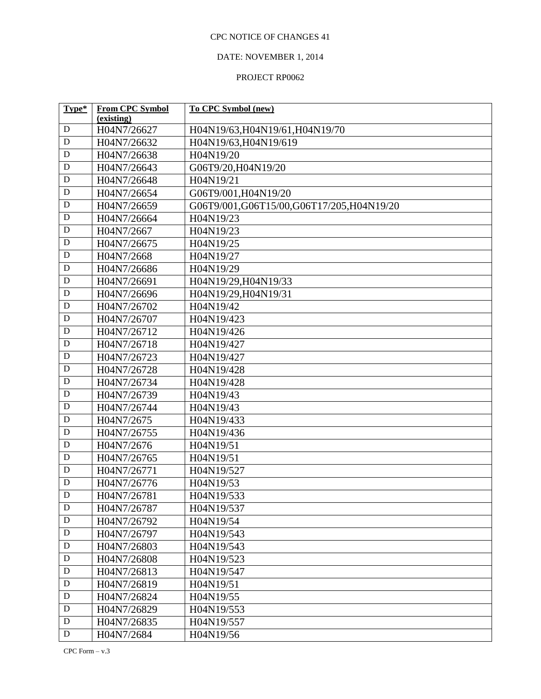# DATE: NOVEMBER 1, 2014

| Type*       | <b>From CPC Symbol</b> | To CPC Symbol (new)                      |  |
|-------------|------------------------|------------------------------------------|--|
| $\mathbf D$ | (existing)             |                                          |  |
| $\mathbf D$ | H04N7/26627            | H04N19/63, H04N19/61, H04N19/70          |  |
|             | H04N7/26632            | H04N19/63, H04N19/619                    |  |
| $\mathbf D$ | H04N7/26638            | H04N19/20                                |  |
| $\mathbf D$ | H04N7/26643            | G06T9/20, H04N19/20                      |  |
| ${\bf D}$   | H04N7/26648            | H04N19/21                                |  |
| $\mathbf D$ | H04N7/26654            | G06T9/001, H04N19/20                     |  |
| ${\bf D}$   | H04N7/26659            | G06T9/001,G06T15/00,G06T17/205,H04N19/20 |  |
| ${\bf D}$   | H04N7/26664            | H04N19/23                                |  |
| ${\bf D}$   | H04N7/2667             | H04N19/23                                |  |
| ${\bf D}$   | H04N7/26675            | H04N19/25                                |  |
| ${\bf D}$   | H04N7/2668             | H04N19/27                                |  |
| ${\bf D}$   | H04N7/26686            | H04N19/29                                |  |
| ${\bf D}$   | H04N7/26691            | H04N19/29, H04N19/33                     |  |
| $\mathbf D$ | H04N7/26696            | H04N19/29, H04N19/31                     |  |
| $\mathbf D$ | H04N7/26702            | H04N19/42                                |  |
| $\mathbf D$ | H04N7/26707            | H04N19/423                               |  |
| $\mathbf D$ | H04N7/26712            | H04N19/426                               |  |
| ${\bf D}$   | H04N7/26718            | H04N19/427                               |  |
| $\mathbf D$ | H04N7/26723            | H04N19/427                               |  |
| ${\bf D}$   | H04N7/26728            | H04N19/428                               |  |
| ${\bf D}$   | H04N7/26734            | H04N19/428                               |  |
| $\mathbf D$ | H04N7/26739            | H04N19/43                                |  |
| ${\bf D}$   | H04N7/26744            | H04N19/43                                |  |
| ${\bf D}$   | H04N7/2675             | H04N19/433                               |  |
| ${\bf D}$   | H04N7/26755            | H04N19/436                               |  |
| $\mathbf D$ | H04N7/2676             | H04N19/51                                |  |
| D           | H04N7/26765            | H04N19/51                                |  |
| ${\bf D}$   | H04N7/26771            | H04N19/527                               |  |
| $\mathbf D$ | H04N7/26776            | H04N19/53                                |  |
| D           | H04N7/26781            | H04N19/533                               |  |
| $\mathbf D$ | H04N7/26787            | H04N19/537                               |  |
| $\mathbf D$ | H04N7/26792            | H04N19/54                                |  |
| $\mathbf D$ | H04N7/26797            | H04N19/543                               |  |
| $\mathbf D$ | H04N7/26803            | H04N19/543                               |  |
| ${\bf D}$   | H04N7/26808            | H04N19/523                               |  |
| $\mathbf D$ | H04N7/26813            | H04N19/547                               |  |
| ${\bf D}$   | H04N7/26819            | H04N19/51                                |  |
| $\mathbf D$ | H04N7/26824            | H04N19/55                                |  |
| $\mathbf D$ | H04N7/26829            | H04N19/553                               |  |
| $\mathbf D$ | H04N7/26835            | H04N19/557                               |  |
| $\mathbf D$ | H04N7/2684             | H04N19/56                                |  |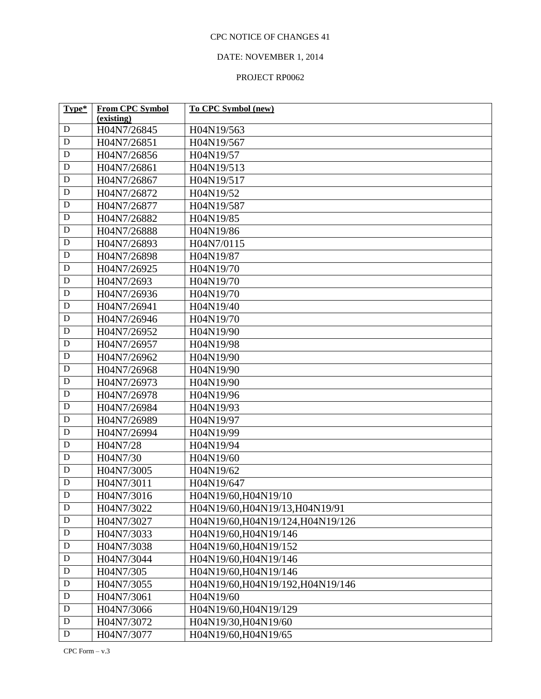# DATE: NOVEMBER 1, 2014

| Type*       | <b>From CPC Symbol</b> | <b>To CPC Symbol (new)</b>        |
|-------------|------------------------|-----------------------------------|
|             | (existing)             |                                   |
| D           | H04N7/26845            | H04N19/563                        |
| D           | H04N7/26851            | H04N19/567                        |
| D           | H04N7/26856            | H04N19/57                         |
| $\mathbf D$ | H04N7/26861            | H04N19/513                        |
| $\mathbf D$ | H04N7/26867            | H04N19/517                        |
| D           | H04N7/26872            | H04N19/52                         |
| D           | H04N7/26877            | H04N19/587                        |
| D           | H04N7/26882            | H04N19/85                         |
| D           | H04N7/26888            | H04N19/86                         |
| D           | H04N7/26893            | H04N7/0115                        |
| D           | H04N7/26898            | H04N19/87                         |
| D           | H04N7/26925            | H04N19/70                         |
| D           | H04N7/2693             | H04N19/70                         |
| D           | H04N7/26936            | H04N19/70                         |
| D           | H04N7/26941            | H04N19/40                         |
| D           | H04N7/26946            | H04N19/70                         |
| $\mathbf D$ | H04N7/26952            | H04N19/90                         |
| D           | H04N7/26957            | H04N19/98                         |
| D           | H04N7/26962            | H04N19/90                         |
| $\mathbf D$ | H04N7/26968            | H04N19/90                         |
| D           | H04N7/26973            | H04N19/90                         |
| D           | H04N7/26978            | H04N19/96                         |
| D           | H04N7/26984            | H04N19/93                         |
| D           | H04N7/26989            | H04N19/97                         |
| $\mathbf D$ | H04N7/26994            | H04N19/99                         |
| D           | H04N7/28               | H04N19/94                         |
| D           | H04N7/30               | H04N19/60                         |
| $\mathbf D$ | H04N7/3005             | H04N19/62                         |
| $\mathbf D$ | H04N7/3011             | H04N19/647                        |
| $\mathbf D$ | H04N7/3016             | H04N19/60, H04N19/10              |
| D           | H04N7/3022             | H04N19/60, H04N19/13, H04N19/91   |
| $\mathbf D$ | H04N7/3027             | H04N19/60, H04N19/124, H04N19/126 |
| ${\bf D}$   | H04N7/3033             | H04N19/60, H04N19/146             |
| $\mathbf D$ | H04N7/3038             | H04N19/60, H04N19/152             |
| $\mathbf D$ | H04N7/3044             | H04N19/60, H04N19/146             |
| D           | H04N7/305              | H04N19/60, H04N19/146             |
| $\mathbf D$ | H04N7/3055             | H04N19/60, H04N19/192, H04N19/146 |
| ${\bf D}$   | H04N7/3061             | H04N19/60                         |
| $\mathbf D$ | H04N7/3066             | H04N19/60, H04N19/129             |
| D           | H04N7/3072             | H04N19/30, H04N19/60              |
| ${\bf D}$   | H04N7/3077             | H04N19/60, H04N19/65              |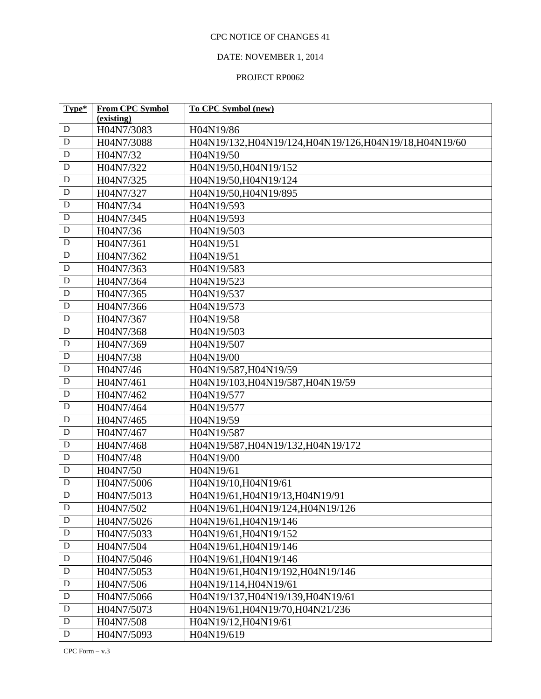# DATE: NOVEMBER 1, 2014

| H04N7/3083<br>D<br>H04N19/86<br>$\mathbf D$<br>H04N19/132, H04N19/124, H04N19/126, H04N19/18, H04N19/60<br>H04N7/3088<br>$\mathbf D$<br>H04N7/32<br>H04N19/50<br>$\mathbf D$<br>H04N7/322<br>H04N19/50, H04N19/152<br>$\mathbf D$<br>H04N19/50, H04N19/124<br>H04N7/325<br>D<br>H04N7/327<br>H04N19/50, H04N19/895<br>$\mathbf D$<br>H04N7/34<br>H04N19/593<br>$\mathbf D$<br>H04N7/345<br>H04N19/593<br>${\bf D}$<br>H04N7/36<br>H04N19/503<br>$\mathbf D$<br>H04N7/361<br>H04N19/51<br>$\mathbf D$<br>H04N7/362<br>H04N19/51<br>$\mathbf D$<br>H04N7/363<br>H04N19/583<br>$\mathbf D$<br>H04N19/523<br>H04N7/364<br>$\mathbf D$<br>H04N7/365<br>H04N19/537 | Type* | <b>From CPC Symbol</b> | To CPC Symbol (new) |  |
|--------------------------------------------------------------------------------------------------------------------------------------------------------------------------------------------------------------------------------------------------------------------------------------------------------------------------------------------------------------------------------------------------------------------------------------------------------------------------------------------------------------------------------------------------------------------------------------------------------------------------------------------------------------|-------|------------------------|---------------------|--|
|                                                                                                                                                                                                                                                                                                                                                                                                                                                                                                                                                                                                                                                              |       | (existing)             |                     |  |
|                                                                                                                                                                                                                                                                                                                                                                                                                                                                                                                                                                                                                                                              |       |                        |                     |  |
|                                                                                                                                                                                                                                                                                                                                                                                                                                                                                                                                                                                                                                                              |       |                        |                     |  |
|                                                                                                                                                                                                                                                                                                                                                                                                                                                                                                                                                                                                                                                              |       |                        |                     |  |
|                                                                                                                                                                                                                                                                                                                                                                                                                                                                                                                                                                                                                                                              |       |                        |                     |  |
|                                                                                                                                                                                                                                                                                                                                                                                                                                                                                                                                                                                                                                                              |       |                        |                     |  |
|                                                                                                                                                                                                                                                                                                                                                                                                                                                                                                                                                                                                                                                              |       |                        |                     |  |
|                                                                                                                                                                                                                                                                                                                                                                                                                                                                                                                                                                                                                                                              |       |                        |                     |  |
|                                                                                                                                                                                                                                                                                                                                                                                                                                                                                                                                                                                                                                                              |       |                        |                     |  |
|                                                                                                                                                                                                                                                                                                                                                                                                                                                                                                                                                                                                                                                              |       |                        |                     |  |
|                                                                                                                                                                                                                                                                                                                                                                                                                                                                                                                                                                                                                                                              |       |                        |                     |  |
|                                                                                                                                                                                                                                                                                                                                                                                                                                                                                                                                                                                                                                                              |       |                        |                     |  |
|                                                                                                                                                                                                                                                                                                                                                                                                                                                                                                                                                                                                                                                              |       |                        |                     |  |
|                                                                                                                                                                                                                                                                                                                                                                                                                                                                                                                                                                                                                                                              |       |                        |                     |  |
|                                                                                                                                                                                                                                                                                                                                                                                                                                                                                                                                                                                                                                                              |       |                        |                     |  |
|                                                                                                                                                                                                                                                                                                                                                                                                                                                                                                                                                                                                                                                              | D     | H04N7/366              | H04N19/573          |  |
| $\mathbf D$<br>H04N7/367<br>H04N19/58                                                                                                                                                                                                                                                                                                                                                                                                                                                                                                                                                                                                                        |       |                        |                     |  |
| $\mathbf D$<br>H04N7/368<br>H04N19/503                                                                                                                                                                                                                                                                                                                                                                                                                                                                                                                                                                                                                       |       |                        |                     |  |
| $\mathbf D$<br>H04N7/369<br>H04N19/507                                                                                                                                                                                                                                                                                                                                                                                                                                                                                                                                                                                                                       |       |                        |                     |  |
| $\mathbf D$<br>H04N7/38<br>H04N19/00                                                                                                                                                                                                                                                                                                                                                                                                                                                                                                                                                                                                                         |       |                        |                     |  |
| $\mathbf D$<br>H04N19/587, H04N19/59<br>H04N7/46                                                                                                                                                                                                                                                                                                                                                                                                                                                                                                                                                                                                             |       |                        |                     |  |
| $\mathbf D$<br>H04N19/103, H04N19/587, H04N19/59<br>H04N7/461                                                                                                                                                                                                                                                                                                                                                                                                                                                                                                                                                                                                |       |                        |                     |  |
| D<br>H04N7/462<br>H04N19/577                                                                                                                                                                                                                                                                                                                                                                                                                                                                                                                                                                                                                                 |       |                        |                     |  |
| $\mathbf D$<br>H04N7/464<br>H04N19/577                                                                                                                                                                                                                                                                                                                                                                                                                                                                                                                                                                                                                       |       |                        |                     |  |
| $\mathbf D$<br>H04N7/465<br>H04N19/59                                                                                                                                                                                                                                                                                                                                                                                                                                                                                                                                                                                                                        |       |                        |                     |  |
| $\mathbf D$<br>H04N7/467<br>H04N19/587                                                                                                                                                                                                                                                                                                                                                                                                                                                                                                                                                                                                                       |       |                        |                     |  |
| $\mathbf D$<br>H04N7/468<br>H04N19/587, H04N19/132, H04N19/172                                                                                                                                                                                                                                                                                                                                                                                                                                                                                                                                                                                               |       |                        |                     |  |
| $\mathbf D$<br>H04N7/48<br>H04N19/00                                                                                                                                                                                                                                                                                                                                                                                                                                                                                                                                                                                                                         |       |                        |                     |  |
| $\mathbf D$<br>H04N7/50<br>H04N19/61                                                                                                                                                                                                                                                                                                                                                                                                                                                                                                                                                                                                                         |       |                        |                     |  |
| $\mathbf D$<br>H04N7/5006<br>H04N19/10, H04N19/61                                                                                                                                                                                                                                                                                                                                                                                                                                                                                                                                                                                                            |       |                        |                     |  |
| $\mathbf D$<br>H04N7/5013<br>H04N19/61, H04N19/13, H04N19/91                                                                                                                                                                                                                                                                                                                                                                                                                                                                                                                                                                                                 |       |                        |                     |  |
| D<br>H04N19/61, H04N19/124, H04N19/126<br>H04N7/502                                                                                                                                                                                                                                                                                                                                                                                                                                                                                                                                                                                                          |       |                        |                     |  |
| ${\bf D}$<br>H04N7/5026<br>H04N19/61, H04N19/146                                                                                                                                                                                                                                                                                                                                                                                                                                                                                                                                                                                                             |       |                        |                     |  |
| ${\bf D}$<br>H04N7/5033<br>H04N19/61, H04N19/152                                                                                                                                                                                                                                                                                                                                                                                                                                                                                                                                                                                                             |       |                        |                     |  |
| $\mathbf D$<br>H04N7/504<br>H04N19/61, H04N19/146                                                                                                                                                                                                                                                                                                                                                                                                                                                                                                                                                                                                            |       |                        |                     |  |
| $\mathbf D$<br>H04N7/5046<br>H04N19/61, H04N19/146                                                                                                                                                                                                                                                                                                                                                                                                                                                                                                                                                                                                           |       |                        |                     |  |
| ${\bf D}$<br>H04N7/5053<br>H04N19/61, H04N19/192, H04N19/146                                                                                                                                                                                                                                                                                                                                                                                                                                                                                                                                                                                                 |       |                        |                     |  |
| $\mathbf D$<br>H04N7/506<br>H04N19/114, H04N19/61                                                                                                                                                                                                                                                                                                                                                                                                                                                                                                                                                                                                            |       |                        |                     |  |
| $\mathbf D$<br>H04N7/5066<br>H04N19/137, H04N19/139, H04N19/61                                                                                                                                                                                                                                                                                                                                                                                                                                                                                                                                                                                               |       |                        |                     |  |
| $\mathbf D$<br>H04N7/5073<br>H04N19/61, H04N19/70, H04N21/236                                                                                                                                                                                                                                                                                                                                                                                                                                                                                                                                                                                                |       |                        |                     |  |
| ${\bf D}$<br>H04N7/508<br>H04N19/12, H04N19/61                                                                                                                                                                                                                                                                                                                                                                                                                                                                                                                                                                                                               |       |                        |                     |  |
| ${\bf D}$<br>H04N7/5093<br>H04N19/619                                                                                                                                                                                                                                                                                                                                                                                                                                                                                                                                                                                                                        |       |                        |                     |  |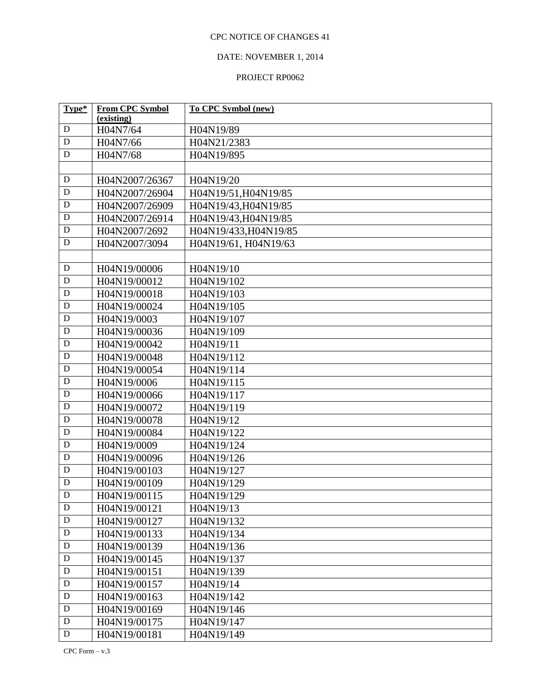# DATE: NOVEMBER 1, 2014

| Type*       | <b>From CPC Symbol</b> | To CPC Symbol (new)   |
|-------------|------------------------|-----------------------|
| ${\bf D}$   | (existing)             |                       |
| ${\bf D}$   | H04N7/64               | H04N19/89             |
|             | H04N7/66               | H04N21/2383           |
| ${\bf D}$   | H04N7/68               | H04N19/895            |
|             |                        |                       |
| ${\bf D}$   | H04N2007/26367         | H04N19/20             |
| $\mathbf D$ | H04N2007/26904         | H04N19/51, H04N19/85  |
| ${\bf D}$   | H04N2007/26909         | H04N19/43, H04N19/85  |
| ${\bf D}$   | H04N2007/26914         | H04N19/43, H04N19/85  |
| ${\bf D}$   | H04N2007/2692          | H04N19/433, H04N19/85 |
| D           | H04N2007/3094          | H04N19/61, H04N19/63  |
|             |                        |                       |
| ${\bf D}$   | H04N19/00006           | H04N19/10             |
| ${\bf D}$   | H04N19/00012           | H04N19/102            |
| $\mathbf D$ | H04N19/00018           | H04N19/103            |
| ${\bf D}$   | H04N19/00024           | H04N19/105            |
| ${\bf D}$   | H04N19/0003            | H04N19/107            |
| ${\bf D}$   | H04N19/00036           | H04N19/109            |
| ${\bf D}$   | H04N19/00042           | H04N19/11             |
| ${\bf D}$   | H04N19/00048           | H04N19/112            |
| ${\bf D}$   | H04N19/00054           | H04N19/114            |
| ${\bf D}$   | H04N19/0006            | H04N19/115            |
| ${\bf D}$   | H04N19/00066           | H04N19/117            |
| ${\bf D}$   | H04N19/00072           | H04N19/119            |
| ${\bf D}$   | H04N19/00078           | H04N19/12             |
| ${\bf D}$   | H04N19/00084           | H04N19/122            |
| $\mathbf D$ | H04N19/0009            | H04N19/124            |
| $\mathbf D$ | H04N19/00096           | H04N19/126            |
| ${\bf D}$   | H04N19/00103           | H04N19/127            |
| $\mathbf D$ | H04N19/00109           | H04N19/129            |
| D           | H04N19/00115           | H04N19/129            |
| ${\bf D}$   | H04N19/00121           | H04N19/13             |
| $\mathbf D$ | H04N19/00127           | H04N19/132            |
| $\mathbf D$ | H04N19/00133           | H04N19/134            |
| $\mathbf D$ | H04N19/00139           | H04N19/136            |
| ${\bf D}$   | H04N19/00145           | H04N19/137            |
| ${\bf D}$   | H04N19/00151           | H04N19/139            |
| ${\bf D}$   | H04N19/00157           | H04N19/14             |
| $\mathbf D$ | H04N19/00163           | H04N19/142            |
| $\mathbf D$ | H04N19/00169           | H04N19/146            |
| $\mathbf D$ | H04N19/00175           | H04N19/147            |
| ${\bf D}$   | H04N19/00181           | H04N19/149            |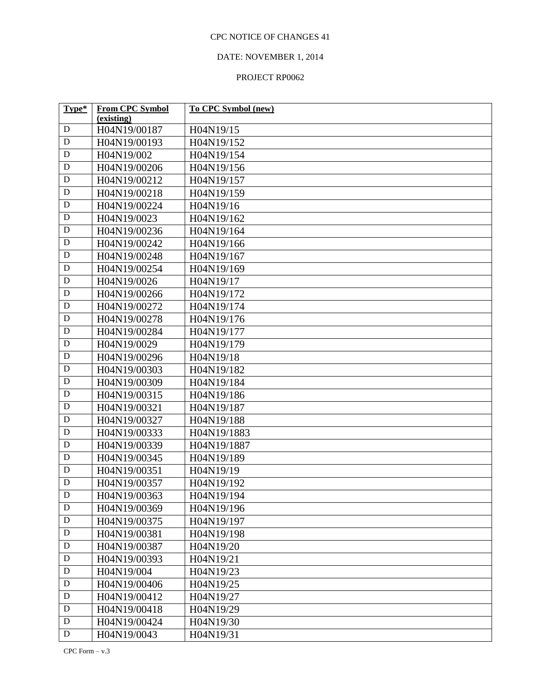# DATE: NOVEMBER 1, 2014

| Type*       | <b>From CPC Symbol</b> | <b>To CPC Symbol (new)</b> |
|-------------|------------------------|----------------------------|
|             | (existing)             |                            |
| D           | H04N19/00187           | H04N19/15                  |
| ${\bf D}$   | H04N19/00193           | H04N19/152                 |
| ${\bf D}$   | H04N19/002             | H04N19/154                 |
| ${\bf D}$   | H04N19/00206           | H04N19/156                 |
| ${\bf D}$   | H04N19/00212           | H04N19/157                 |
| D           | H04N19/00218           | H04N19/159                 |
| D           | H04N19/00224           | H04N19/16                  |
| $\mathbf D$ | H04N19/0023            | H04N19/162                 |
| $\mathbf D$ | H04N19/00236           | H04N19/164                 |
| $\mathbf D$ | H04N19/00242           | H04N19/166                 |
| $\mathbf D$ | H04N19/00248           | H04N19/167                 |
| ${\bf D}$   | H04N19/00254           | H04N19/169                 |
| $\mathbf D$ | H04N19/0026            | H04N19/17                  |
| ${\bf D}$   | H04N19/00266           | H04N19/172                 |
| ${\bf D}$   | H04N19/00272           | H04N19/174                 |
| ${\bf D}$   | H04N19/00278           | H04N19/176                 |
| ${\bf D}$   | H04N19/00284           | H04N19/177                 |
| ${\bf D}$   | H04N19/0029            | H04N19/179                 |
| $\mathbf D$ | H04N19/00296           | H04N19/18                  |
| ${\bf D}$   | H04N19/00303           | H04N19/182                 |
| ${\bf D}$   | H04N19/00309           | H04N19/184                 |
| $\mathbf D$ | H04N19/00315           | H04N19/186                 |
| ${\bf D}$   | H04N19/00321           | H04N19/187                 |
| $\mathbf D$ | H04N19/00327           | H04N19/188                 |
| $\mathbf D$ | H04N19/00333           | H04N19/1883                |
| $\mathbf D$ | H04N19/00339           | H04N19/1887                |
| $\mathbf D$ | H04N19/00345           | H04N19/189                 |
| ${\bf D}$   | H04N19/00351           | H04N19/19                  |
| ${\bf D}$   | H04N19/00357           | H04N19/192                 |
| $\mathbf D$ | H04N19/00363           | H04N19/194                 |
| $\mathbf D$ | H04N19/00369           | H04N19/196                 |
| $\mathbf D$ | H04N19/00375           | H04N19/197                 |
| ${\bf D}$   | H04N19/00381           | H04N19/198                 |
| $\mathbf D$ | H04N19/00387           | H04N19/20                  |
| $\mathbf D$ | H04N19/00393           | H04N19/21                  |
| $\mathbf D$ | H04N19/004             | H04N19/23                  |
| $\mathbf D$ | H04N19/00406           | H04N19/25                  |
| $\mathbf D$ | H04N19/00412           | H04N19/27                  |
| $\mathbf D$ | H04N19/00418           | H04N19/29                  |
| $\mathbf D$ | H04N19/00424           | H04N19/30                  |
| $\mathbf D$ | H04N19/0043            | H04N19/31                  |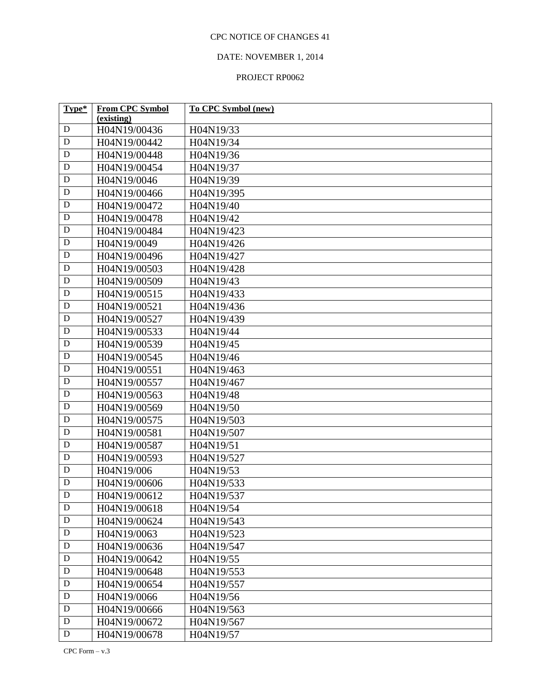# DATE: NOVEMBER 1, 2014

| Type*       | <b>From CPC Symbol</b> | To CPC Symbol (new) |
|-------------|------------------------|---------------------|
|             | (existing)             |                     |
| D           | H04N19/00436           | H04N19/33           |
| D           | H04N19/00442           | H04N19/34           |
| $\mathbf D$ | H04N19/00448           | H04N19/36           |
| $\mathbf D$ | H04N19/00454           | H04N19/37           |
| ${\bf D}$   | H04N19/0046            | H04N19/39           |
| D           | H04N19/00466           | H04N19/395          |
| $\mathbf D$ | H04N19/00472           | H04N19/40           |
| $\mathbf D$ | H04N19/00478           | H04N19/42           |
| $\mathbf D$ | H04N19/00484           | H04N19/423          |
| $\mathbf D$ | H04N19/0049            | H04N19/426          |
| $\mathbf D$ | H04N19/00496           | H04N19/427          |
| D           | H04N19/00503           | H04N19/428          |
| $\mathbf D$ | H04N19/00509           | H04N19/43           |
| $\mathbf D$ | H04N19/00515           | H04N19/433          |
| D           | H04N19/00521           | H04N19/436          |
| $\mathbf D$ | H04N19/00527           | H04N19/439          |
| $\mathbf D$ | H04N19/00533           | H04N19/44           |
| $\mathbf D$ | H04N19/00539           | H04N19/45           |
| $\mathbf D$ | H04N19/00545           | H04N19/46           |
| $\mathbf D$ | H04N19/00551           | H04N19/463          |
| $\mathbf D$ | H04N19/00557           | H04N19/467          |
| D           | H04N19/00563           | H04N19/48           |
| $\mathbf D$ | H04N19/00569           | H04N19/50           |
| $\mathbf D$ | H04N19/00575           | H04N19/503          |
| ${\bf D}$   | H04N19/00581           | H04N19/507          |
| $\mathbf D$ | H04N19/00587           | H04N19/51           |
| $\mathbf D$ | H04N19/00593           | H04N19/527          |
| $\mathbf D$ | H04N19/006             | H04N19/53           |
| $\mathbf D$ | H04N19/00606           | H04N19/533          |
| ${\bf D}$   | H04N19/00612           | H04N19/537          |
| D           | H04N19/00618           | H04N19/54           |
| $\mathbf D$ | H04N19/00624           | H04N19/543          |
| ${\bf D}$   | H04N19/0063            | H04N19/523          |
| $\mathbf D$ | H04N19/00636           | H04N19/547          |
| $\mathbf D$ | H04N19/00642           | H04N19/55           |
| $\mathbf D$ | H04N19/00648           | H04N19/553          |
| $\mathbf D$ | H04N19/00654           | H04N19/557          |
| $\mathbf D$ | H04N19/0066            | H04N19/56           |
| $\mathbf D$ | H04N19/00666           | H04N19/563          |
| ${\bf D}$   | H04N19/00672           | H04N19/567          |
| ${\bf D}$   | H04N19/00678           | H04N19/57           |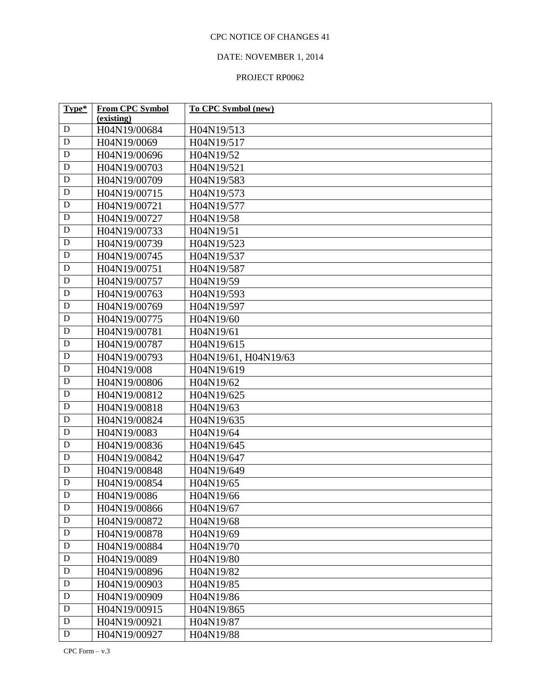# DATE: NOVEMBER 1, 2014

| Type*       | <b>From CPC Symbol</b> | <b>To CPC Symbol (new)</b> |
|-------------|------------------------|----------------------------|
|             | (existing)             |                            |
| $\mathbf D$ | H04N19/00684           | H04N19/513                 |
| ${\bf D}$   | H04N19/0069            | H04N19/517                 |
| ${\bf D}$   | H04N19/00696           | H04N19/52                  |
| ${\bf D}$   | H04N19/00703           | H04N19/521                 |
| ${\bf D}$   | H04N19/00709           | H04N19/583                 |
| $\mathbf D$ | H04N19/00715           | H04N19/573                 |
| ${\bf D}$   | H04N19/00721           | H04N19/577                 |
| ${\bf D}$   | H04N19/00727           | H04N19/58                  |
| $\mathbf D$ | H04N19/00733           | H04N19/51                  |
| ${\bf D}$   | H04N19/00739           | H04N19/523                 |
| $\mathbf D$ | H04N19/00745           | H04N19/537                 |
| ${\bf D}$   | H04N19/00751           | H04N19/587                 |
| $\mathbf D$ | H04N19/00757           | H04N19/59                  |
| ${\bf D}$   | H04N19/00763           | H04N19/593                 |
| ${\bf D}$   | H04N19/00769           | H04N19/597                 |
| ${\bf D}$   | H04N19/00775           | H04N19/60                  |
| ${\bf D}$   | H04N19/00781           | H04N19/61                  |
| ${\bf D}$   | H04N19/00787           | H04N19/615                 |
| $\mathbf D$ | H04N19/00793           | H04N19/61, H04N19/63       |
| ${\bf D}$   | H04N19/008             | H04N19/619                 |
| ${\bf D}$   | H04N19/00806           | H04N19/62                  |
| ${\bf D}$   | H04N19/00812           | H04N19/625                 |
| ${\bf D}$   | H04N19/00818           | H04N19/63                  |
| $\mathbf D$ | H04N19/00824           | H04N19/635                 |
| $\mathbf D$ | H04N19/0083            | H04N19/64                  |
| ${\bf D}$   | H04N19/00836           | H04N19/645                 |
| $\mathbf D$ | H04N19/00842           | H04N19/647                 |
| ${\bf D}$   | H04N19/00848           | H04N19/649                 |
| ${\bf D}$   | H04N19/00854           | H04N19/65                  |
| $\mathbf D$ | H04N19/0086            | H04N19/66                  |
| $\mathbf D$ | H04N19/00866           | H04N19/67                  |
| $\mathbf D$ | H04N19/00872           | H04N19/68                  |
| ${\bf D}$   | H04N19/00878           | H04N19/69                  |
| $\mathbf D$ | H04N19/00884           | H04N19/70                  |
| $\mathbf D$ | H04N19/0089            | H04N19/80                  |
| $\mathbf D$ | H04N19/00896           | H04N19/82                  |
| $\mathbf D$ | H04N19/00903           | H04N19/85                  |
| $\mathbf D$ | H04N19/00909           | H04N19/86                  |
| $\mathbf D$ | H04N19/00915           | H04N19/865                 |
| $\mathbf D$ | H04N19/00921           | H04N19/87                  |
| ${\bf D}$   | H04N19/00927           | H04N19/88                  |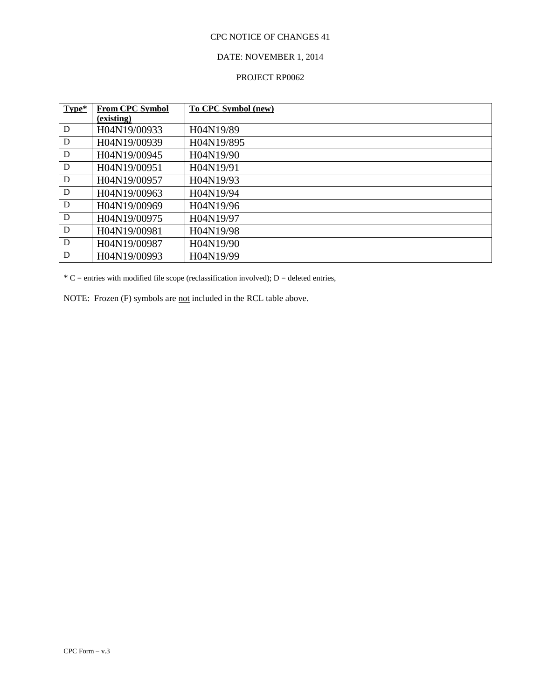## DATE: NOVEMBER 1, 2014

#### PROJECT RP0062

| Type* | <b>From CPC Symbol</b> | To CPC Symbol (new) |
|-------|------------------------|---------------------|
|       | (existing)             |                     |
| D     | H04N19/00933           | H04N19/89           |
| D     | H04N19/00939           | H04N19/895          |
| D     | H04N19/00945           | H04N19/90           |
| D     | H04N19/00951           | H04N19/91           |
| D     | H04N19/00957           | H04N19/93           |
| D     | H04N19/00963           | H04N19/94           |
| D     | H04N19/00969           | H04N19/96           |
| D     | H04N19/00975           | H04N19/97           |
| D     | H04N19/00981           | H04N19/98           |
| D     | H04N19/00987           | H04N19/90           |
| D     | H04N19/00993           | H04N19/99           |

 $*C$  = entries with modified file scope (reclassification involved); D = deleted entries,

NOTE: Frozen (F) symbols are not included in the RCL table above.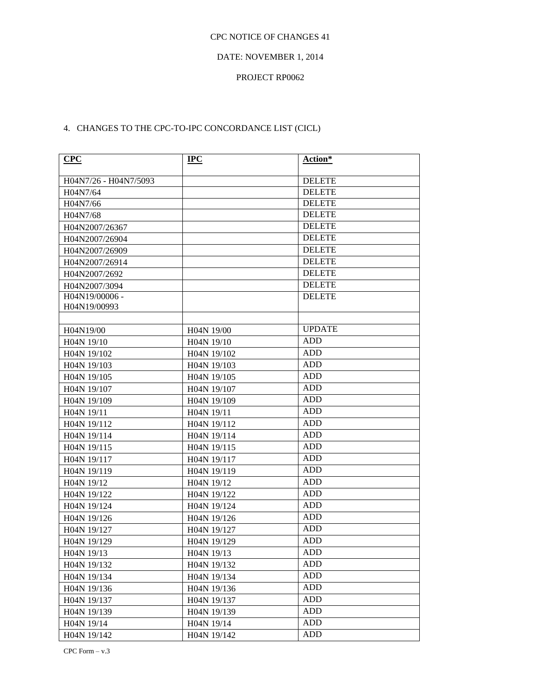#### DATE: NOVEMBER 1, 2014

#### PROJECT RP0062

# 4. CHANGES TO THE CPC-TO-IPC CONCORDANCE LIST (CICL)

| CPC                     | $_{\rm IPC}$            | Action*       |
|-------------------------|-------------------------|---------------|
| H04N7/26 - H04N7/5093   |                         | <b>DELETE</b> |
| H04N7/64                |                         | <b>DELETE</b> |
| H04N7/66                |                         | <b>DELETE</b> |
| H04N7/68                |                         | <b>DELETE</b> |
| H04N2007/26367          |                         | <b>DELETE</b> |
| H04N2007/26904          |                         | <b>DELETE</b> |
| H04N2007/26909          |                         | <b>DELETE</b> |
| H04N2007/26914          |                         | <b>DELETE</b> |
| H04N2007/2692           |                         | <b>DELETE</b> |
| H04N2007/3094           |                         | <b>DELETE</b> |
| H04N19/00006 -          |                         | <b>DELETE</b> |
| H04N19/00993            |                         |               |
|                         |                         |               |
| H04N19/00               | H04N 19/00              | <b>UPDATE</b> |
| H04N 19/10              | H04N 19/10              | <b>ADD</b>    |
| H04N 19/102             | H04N 19/102             | <b>ADD</b>    |
| H04N 19/103             | H04N 19/103             | <b>ADD</b>    |
| H04N 19/105             | H04N 19/105             | <b>ADD</b>    |
| H04N 19/107             | H04N 19/107             | <b>ADD</b>    |
| H04N 19/109             | H04N 19/109             | ADD           |
| H04N 19/11              | H04N 19/11              | <b>ADD</b>    |
| H04N 19/112             | H04N 19/112             | <b>ADD</b>    |
| H04N 19/114             | H04N 19/114             | <b>ADD</b>    |
| H04N 19/115             | H04N 19/115             | <b>ADD</b>    |
| H04N 19/117             | H04N 19/117             | ADD           |
| H04N 19/119             | H04N 19/119             | <b>ADD</b>    |
| H04N 19/12              | H04N 19/12              | <b>ADD</b>    |
| H04N 19/122             | H04N 19/122             | ADD           |
| H04N 19/124             | H04N 19/124             | ADD           |
| H04N 19/126             | H04N 19/126             | ADD           |
| H04N 19/127             | H04N 19/127             | <b>ADD</b>    |
| H04N 19/129             | H04N 19/129             | <b>ADD</b>    |
| H <sub>04</sub> N 19/13 | H <sub>04</sub> N 19/13 | <b>ADD</b>    |
| H04N 19/132             | H04N 19/132             | ADD           |
| H04N 19/134             | H04N 19/134             | <b>ADD</b>    |
| H04N 19/136             | H04N 19/136             | <b>ADD</b>    |
| H04N 19/137             | H04N 19/137             | <b>ADD</b>    |
| H04N 19/139             | H04N 19/139             | <b>ADD</b>    |
| H04N 19/14              | H04N 19/14              | <b>ADD</b>    |
| H04N 19/142             | H04N 19/142             | ADD           |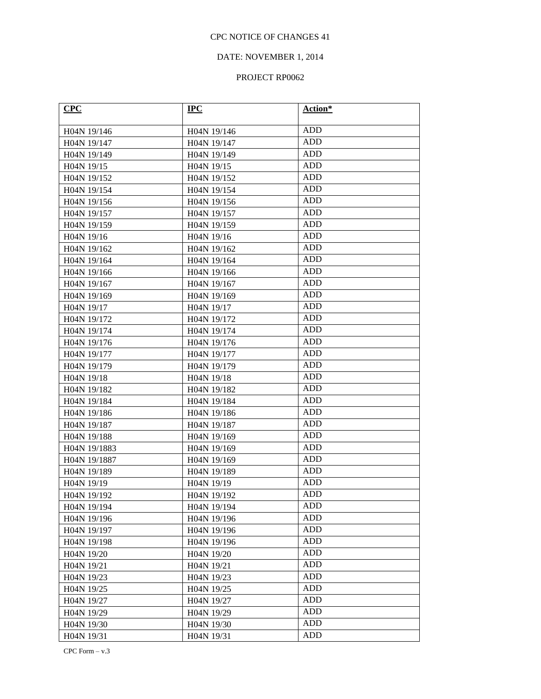## DATE: NOVEMBER 1, 2014

| CPC                      | $IPC$                    | Action*    |
|--------------------------|--------------------------|------------|
| H04N 19/146              | H04N 19/146              | <b>ADD</b> |
| H04N 19/147              | H04N 19/147              | <b>ADD</b> |
| H04N 19/149              | H04N 19/149              | <b>ADD</b> |
| H04N 19/15               | H <sub>04</sub> N 19/15  | <b>ADD</b> |
| H04N 19/152              | H04N 19/152              | ADD        |
| H04N 19/154              | H04N 19/154              | ADD        |
| H04N 19/156              | H04N 19/156              | <b>ADD</b> |
| H04N 19/157              | H04N 19/157              | <b>ADD</b> |
| H04N 19/159              | H04N 19/159              | <b>ADD</b> |
| H04N 19/16               | H04N 19/16               | <b>ADD</b> |
| H04N 19/162              | H04N 19/162              | ADD        |
| H04N 19/164              | H04N 19/164              | <b>ADD</b> |
| H04N 19/166              | H04N 19/166              | ADD        |
| H04N 19/167              | H04N 19/167              | ADD        |
| H04N 19/169              | H04N 19/169              | ADD        |
| H04N 19/17               | H04N 19/17               | <b>ADD</b> |
| H04N 19/172              | H04N 19/172              | ADD        |
| H04N 19/174              | H04N 19/174              | <b>ADD</b> |
| H04N 19/176              | H04N 19/176              | ADD        |
| H04N 19/177              | H04N 19/177              | ADD        |
| H04N 19/179              | H04N 19/179              | <b>ADD</b> |
| H04N 19/18               | H04N 19/18               | ADD        |
| H <sub>04</sub> N 19/182 | H <sub>04</sub> N 19/182 | ADD        |
| H04N 19/184              | H04N 19/184              | ADD        |
| H04N 19/186              | H04N 19/186              | ADD        |
| H04N 19/187              | H04N 19/187              | <b>ADD</b> |
| H <sub>04</sub> N 19/188 | H04N 19/169              | ADD        |
| H04N 19/1883             | H04N 19/169              | ADD        |
| H04N 19/1887             | H04N 19/169              | <b>ADD</b> |
| H04N 19/189              | H04N 19/189              | <b>ADD</b> |
| H04N 19/19               | H04N 19/19               | ADD        |
| H04N 19/192              | H04N 19/192              | ADD        |
| H04N 19/194              | H04N 19/194              | ADD        |
| H04N 19/196              | H04N 19/196              | <b>ADD</b> |
| H04N 19/197              | H04N 19/196              | <b>ADD</b> |
| H04N 19/198              | H04N 19/196              | ADD        |
| H04N 19/20               | H04N 19/20               | <b>ADD</b> |
| H04N 19/21               | H04N 19/21               | <b>ADD</b> |
| H04N 19/23               | H04N 19/23               | <b>ADD</b> |
| H04N 19/25               | H04N 19/25               | <b>ADD</b> |
| H04N 19/27               | H04N 19/27               | ADD        |
| H04N 19/29               | H04N 19/29               | <b>ADD</b> |
| H04N 19/30               | H04N 19/30               | ADD        |
| H04N 19/31               | H04N 19/31               | <b>ADD</b> |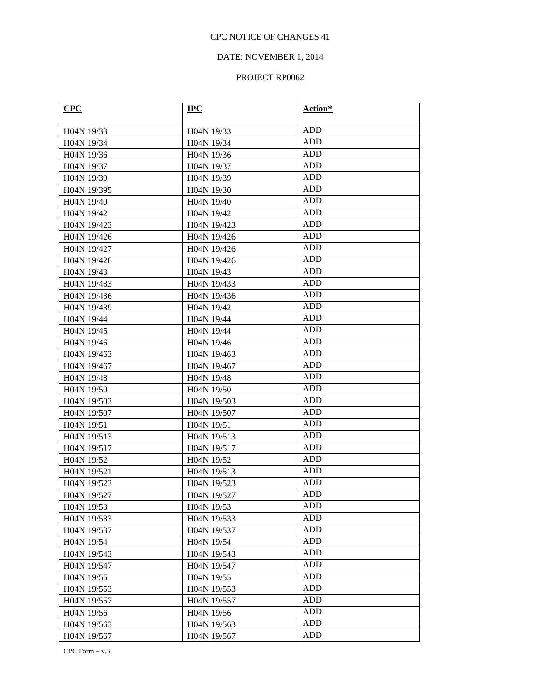## DATE: NOVEMBER 1, 2014

| CPC                      | $IPC$                    | Action*    |
|--------------------------|--------------------------|------------|
| H04N 19/33               | H04N 19/33               | ADD        |
| H <sub>04</sub> N 19/34  | H04N 19/34               | <b>ADD</b> |
| H <sub>04</sub> N 19/36  | H <sub>04</sub> N 19/36  | <b>ADD</b> |
| H04N 19/37               | H <sub>04</sub> N 19/37  | ADD        |
| H04N 19/39               | H04N 19/39               | ADD        |
| H04N 19/395              | H04N 19/30               | ADD        |
| H04N 19/40               | H04N 19/40               | ADD        |
| H04N 19/42               | H04N 19/42               | <b>ADD</b> |
| H <sub>04</sub> N 19/423 | H <sub>04</sub> N 19/423 | ADD        |
| H04N 19/426              | H04N 19/426              | ADD        |
| H04N 19/427              | H04N 19/426              | ADD        |
| H <sub>04</sub> N 19/428 | H <sub>04</sub> N 19/426 | <b>ADD</b> |
| H04N 19/43               | H04N 19/43               | ADD        |
| H04N 19/433              | H04N 19/433              | ADD        |
| H04N 19/436              | H04N 19/436              | <b>ADD</b> |
| H04N 19/439              | H04N 19/42               | <b>ADD</b> |
| H04N 19/44               | H04N 19/44               | <b>ADD</b> |
| H04N 19/45               | H04N 19/44               | ADD        |
| H <sub>04</sub> N 19/46  | H04N 19/46               | ADD        |
| H04N 19/463              | H04N 19/463              | <b>ADD</b> |
| H04N 19/467              | H04N 19/467              | <b>ADD</b> |
| H04N 19/48               | H04N 19/48               | ADD        |
| H04N 19/50               | H04N 19/50               | ADD        |
| H04N 19/503              | H04N 19/503              | ADD        |
| H04N 19/507              | H04N 19/507              | ADD        |
| H <sub>04</sub> N 19/51  | H04N 19/51               | <b>ADD</b> |
| H <sub>04</sub> N 19/513 | H <sub>04</sub> N 19/513 | ADD        |
| H04N 19/517              | H04N 19/517              | ADD        |
| H04N 19/52               | H04N 19/52               | ADD        |
| H04N 19/521              | H04N 19/513              | <b>ADD</b> |
| H04N 19/523              | H04N 19/523              | ADD        |
| H04N 19/527              | H04N 19/527              | ADD        |
| H04N 19/53               | H04N 19/53               | <b>ADD</b> |
| H04N 19/533              | H04N 19/533              | ADD        |
| H04N 19/537              | H04N 19/537              | <b>ADD</b> |
| H04N 19/54               | H04N 19/54               | <b>ADD</b> |
| H04N 19/543              | H04N 19/543              | <b>ADD</b> |
| H04N 19/547              | H04N 19/547              | ADD        |
| H04N 19/55               | H04N 19/55               | <b>ADD</b> |
| H04N 19/553              | H04N 19/553              | <b>ADD</b> |
| H04N 19/557              | H04N 19/557              | ADD        |
| H04N 19/56               | H04N 19/56               | <b>ADD</b> |
| H04N 19/563              | H04N 19/563              | <b>ADD</b> |
| H04N 19/567              | H04N 19/567              | <b>ADD</b> |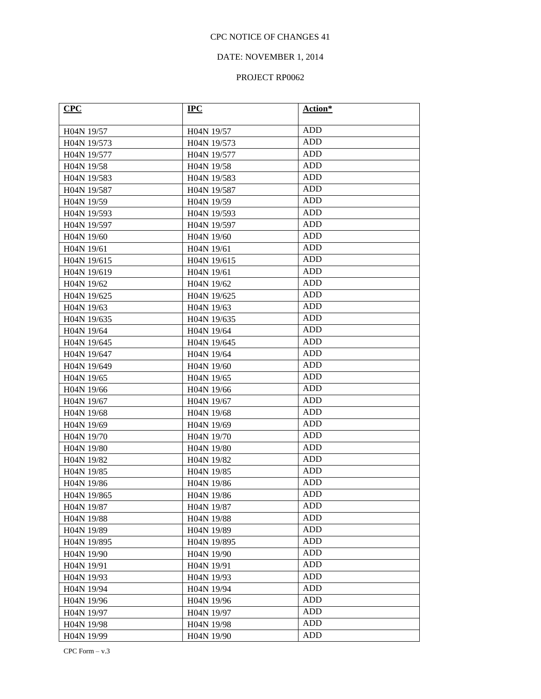## DATE: NOVEMBER 1, 2014

| CPC                      | $IPC$                    | Action*    |
|--------------------------|--------------------------|------------|
| H04N 19/57               | H04N 19/57               | ADD        |
| H04N 19/573              | H04N 19/573              | <b>ADD</b> |
| H <sub>04</sub> N 19/577 | H <sub>04</sub> N 19/577 | <b>ADD</b> |
| H04N 19/58               | H <sub>04</sub> N 19/58  | ADD        |
| H04N 19/583              | H04N 19/583              | ADD        |
| H04N 19/587              | H04N 19/587              | ADD        |
| H04N 19/59               | H04N 19/59               | <b>ADD</b> |
| H04N 19/593              | H04N 19/593              | ADD        |
| H04N 19/597              | H04N 19/597              | ADD        |
| H04N 19/60               | H04N 19/60               | ADD        |
| H04N 19/61               | H04N 19/61               | ADD        |
| H <sub>04</sub> N 19/615 | H04N 19/615              | <b>ADD</b> |
| H04N 19/619              | H04N 19/61               | ADD        |
| H04N 19/62               | H04N 19/62               | ADD        |
| H04N 19/625              | H04N 19/625              | ADD        |
| H04N 19/63               | H04N 19/63               | <b>ADD</b> |
| H04N 19/635              | H04N 19/635              | ADD        |
| H04N 19/64               | H04N 19/64               | ADD        |
| H04N 19/645              | H04N 19/645              | ADD        |
| H04N 19/647              | H04N 19/64               | ADD        |
| H <sub>04</sub> N 19/649 | H04N 19/60               | <b>ADD</b> |
| H04N 19/65               | H04N 19/65               | ADD        |
| H <sub>04</sub> N 19/66  | H04N 19/66               | ADD        |
| H04N 19/67               | H04N 19/67               | ADD        |
| H04N 19/68               | H04N 19/68               | ADD        |
| H04N 19/69               | H04N 19/69               | <b>ADD</b> |
| H04N 19/70               | H04N 19/70               | ADD        |
| H04N 19/80               | H04N 19/80               | ADD        |
| H04N 19/82               | H04N 19/82               | ADD        |
| H04N 19/85               | H04N 19/85               | <b>ADD</b> |
| H04N 19/86               | H04N 19/86               | ADD        |
| H04N 19/865              | H04N 19/86               | ADD        |
| H04N 19/87               | H04N 19/87               | ADD        |
| H04N 19/88               | H04N 19/88               | <b>ADD</b> |
| H04N 19/89               | H04N 19/89               | <b>ADD</b> |
| H04N 19/895              | H04N 19/895              | ADD        |
| H04N 19/90               | H04N 19/90               | <b>ADD</b> |
| H04N 19/91               | H04N 19/91               | <b>ADD</b> |
| H04N 19/93               | H04N 19/93               | <b>ADD</b> |
| H04N 19/94               | H04N 19/94               | <b>ADD</b> |
| H04N 19/96               | H04N 19/96               | ADD        |
| H04N 19/97               | H04N 19/97               | ADD        |
| H04N 19/98               | H04N 19/98               | ADD        |
| H04N 19/99               | H04N 19/90               | <b>ADD</b> |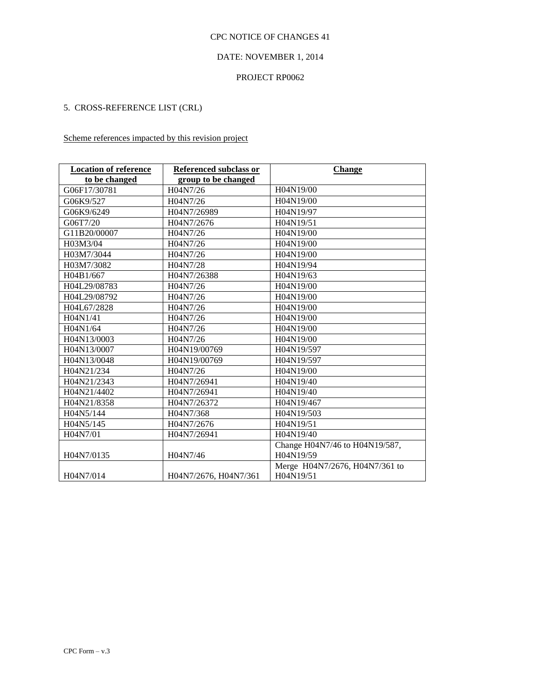### DATE: NOVEMBER 1, 2014

#### PROJECT RP0062

# 5. CROSS-REFERENCE LIST (CRL)

# Scheme references impacted by this revision project

| <b>Location of reference</b> | <b>Referenced subclass or</b> | <b>Change</b>                  |  |
|------------------------------|-------------------------------|--------------------------------|--|
| to be changed                | group to be changed           |                                |  |
| G06F17/30781                 | H04N7/26                      | H04N19/00                      |  |
| G06K9/527                    | H04N7/26                      | H04N19/00                      |  |
| G06K9/6249                   | H04N7/26989                   | H04N19/97                      |  |
| G06T7/20                     | H04N7/2676                    | H04N19/51                      |  |
| G11B20/00007                 | H04N7/26                      | H04N19/00                      |  |
| H03M3/04                     | H04N7/26                      | H04N19/00                      |  |
| H03M7/3044                   | H04N7/26                      | H04N19/00                      |  |
| H03M7/3082                   | H04N7/28                      | H04N19/94                      |  |
| H04B1/667                    | H04N7/26388                   | H04N19/63                      |  |
| H04L29/08783                 | H04N7/26                      | H04N19/00                      |  |
| H04L29/08792                 | H04N7/26                      | H04N19/00                      |  |
| H04L67/2828                  | H04N7/26                      | H04N19/00                      |  |
| H04N1/41                     | H04N7/26                      | H04N19/00                      |  |
| H04N1/64                     | H04N7/26                      | H04N19/00                      |  |
| H04N13/0003                  | H04N7/26                      | H04N19/00                      |  |
| H04N13/0007                  | H04N19/00769                  | H04N19/597                     |  |
| H04N13/0048                  | H04N19/00769                  | H04N19/597                     |  |
| H04N21/234                   | H04N7/26                      | H04N19/00                      |  |
| H04N21/2343                  | H04N7/26941                   | H04N19/40                      |  |
| H04N21/4402                  | H04N7/26941                   | H04N19/40                      |  |
| H04N21/8358                  | H04N7/26372                   | H04N19/467                     |  |
| H04N5/144                    | H04N7/368                     | H04N19/503                     |  |
| H04N5/145                    | H04N7/2676                    | H04N19/51                      |  |
| H04N7/01                     | H04N7/26941                   | H04N19/40                      |  |
|                              |                               | Change H04N7/46 to H04N19/587, |  |
| H04N7/0135                   | H04N7/46                      | H04N19/59                      |  |
|                              |                               | Merge H04N7/2676, H04N7/361 to |  |
| H04N7/014                    | H04N7/2676, H04N7/361         | H04N19/51                      |  |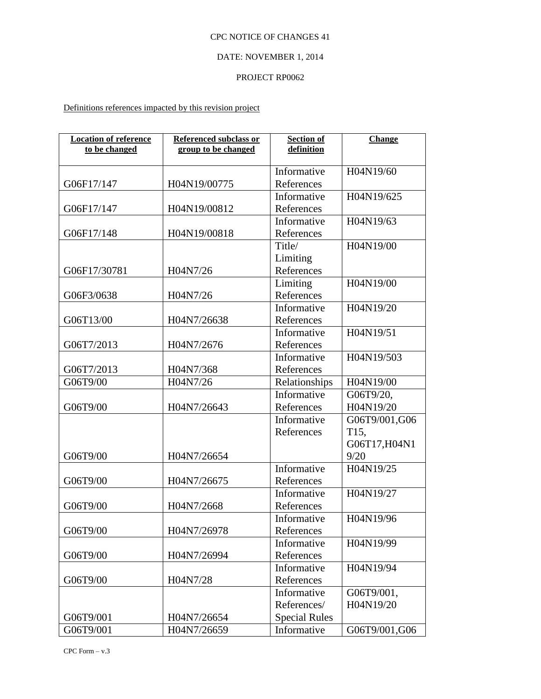# DATE: NOVEMBER 1, 2014

#### PROJECT RP0062

Definitions references impacted by this revision project

| <b>Location of reference</b><br>to be changed | <b>Referenced subclass or</b><br>group to be changed | <b>Section of</b><br>definition | <b>Change</b>     |
|-----------------------------------------------|------------------------------------------------------|---------------------------------|-------------------|
|                                               |                                                      |                                 |                   |
|                                               |                                                      | Informative                     | H04N19/60         |
| G06F17/147                                    | H04N19/00775                                         | References                      |                   |
|                                               |                                                      | Informative                     | H04N19/625        |
| G06F17/147                                    | H04N19/00812                                         | References                      |                   |
|                                               |                                                      | Informative                     | H04N19/63         |
| G06F17/148                                    | H04N19/00818                                         | References                      |                   |
|                                               |                                                      | Title/                          | H04N19/00         |
|                                               |                                                      | Limiting                        |                   |
| G06F17/30781                                  | H04N7/26                                             | References                      |                   |
|                                               |                                                      | Limiting                        | H04N19/00         |
| G06F3/0638                                    | H04N7/26                                             | References                      |                   |
|                                               |                                                      | Informative                     | H04N19/20         |
| G06T13/00                                     | H04N7/26638                                          | References                      |                   |
|                                               |                                                      | Informative                     | H04N19/51         |
| G06T7/2013                                    | H04N7/2676                                           | References                      |                   |
|                                               |                                                      | Informative                     | H04N19/503        |
| G06T7/2013                                    | H04N7/368                                            | References                      |                   |
| G06T9/00                                      | H04N7/26                                             | Relationships                   | H04N19/00         |
|                                               |                                                      | Informative                     | G06T9/20,         |
| G06T9/00                                      | H04N7/26643                                          | References                      | H04N19/20         |
|                                               |                                                      | Informative                     | G06T9/001,G06     |
|                                               |                                                      | References                      | T <sub>15</sub> , |
|                                               |                                                      |                                 | G06T17, H04N1     |
| G06T9/00                                      | H04N7/26654                                          |                                 | 9/20              |
|                                               |                                                      | Informative                     | H04N19/25         |
| G06T9/00                                      | H04N7/26675                                          | References                      |                   |
|                                               |                                                      | Informative                     | H04N19/27         |
| G06T9/00                                      | H04N7/2668                                           | References                      |                   |
|                                               |                                                      | Informative                     | H04N19/96         |
| G06T9/00                                      | H04N7/26978                                          | References                      |                   |
|                                               |                                                      | Informative                     | H04N19/99         |
| G06T9/00                                      | H04N7/26994                                          | References                      |                   |
|                                               |                                                      | Informative                     | H04N19/94         |
| G06T9/00                                      | H04N7/28                                             | References                      |                   |
|                                               |                                                      | Informative                     | G06T9/001,        |
|                                               |                                                      | References/                     | H04N19/20         |
| G06T9/001                                     | H04N7/26654                                          | <b>Special Rules</b>            |                   |
| G06T9/001                                     | H04N7/26659                                          | Informative                     | G06T9/001,G06     |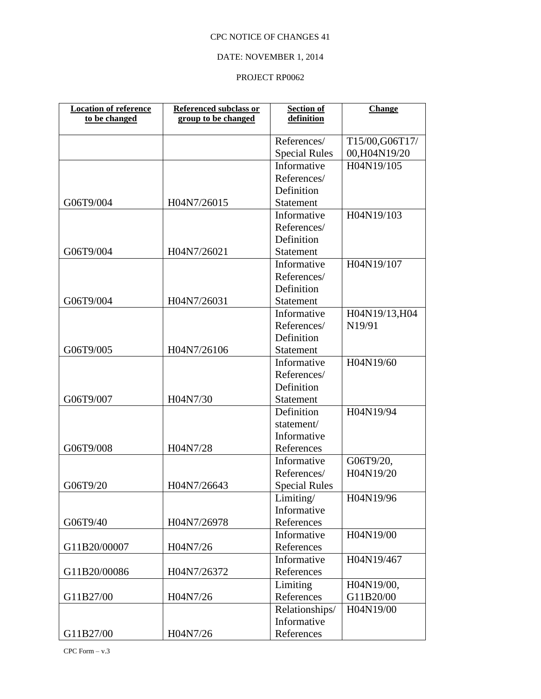# DATE: NOVEMBER 1, 2014

#### PROJECT RP0062

| <b>Location of reference</b> | Referenced subclass or | <b>Section of</b>    | <b>Change</b>  |
|------------------------------|------------------------|----------------------|----------------|
| to be changed                | group to be changed    | definition           |                |
|                              |                        | References/          | T15/00,G06T17/ |
|                              |                        | <b>Special Rules</b> | 00,H04N19/20   |
|                              |                        | Informative          | H04N19/105     |
|                              |                        | References/          |                |
|                              |                        | Definition           |                |
| G06T9/004                    | H04N7/26015            | Statement            |                |
|                              |                        | Informative          | H04N19/103     |
|                              |                        | References/          |                |
|                              |                        | Definition           |                |
| G06T9/004                    | H04N7/26021            | Statement            |                |
|                              |                        | Informative          | H04N19/107     |
|                              |                        | References/          |                |
|                              |                        | Definition           |                |
| G06T9/004                    | H04N7/26031            | Statement            |                |
|                              |                        | Informative          | H04N19/13, H04 |
|                              |                        | References/          | N19/91         |
|                              |                        | Definition           |                |
| G06T9/005                    | H04N7/26106            | Statement            |                |
|                              |                        | Informative          | H04N19/60      |
|                              |                        | References/          |                |
|                              |                        | Definition           |                |
| G06T9/007                    | H04N7/30               | <b>Statement</b>     |                |
|                              |                        | Definition           | H04N19/94      |
|                              |                        | statement/           |                |
|                              |                        | Informative          |                |
| G06T9/008                    | H04N7/28               | References           |                |
|                              |                        | Informative          | G06T9/20,      |
|                              |                        | References/          | H04N19/20      |
| G06T9/20                     | H04N7/26643            | <b>Special Rules</b> |                |
|                              |                        | Limiting/            | H04N19/96      |
|                              |                        | Informative          |                |
| G06T9/40                     | H04N7/26978            | References           |                |
|                              |                        | Informative          | H04N19/00      |
| G11B20/00007                 | H04N7/26               | References           |                |
|                              |                        | Informative          | H04N19/467     |
| G11B20/00086                 | H04N7/26372            | References           |                |
|                              |                        | Limiting             | H04N19/00,     |
| G11B27/00                    | H04N7/26               | References           | G11B20/00      |
|                              |                        | Relationships/       | H04N19/00      |
|                              |                        | Informative          |                |
| G11B27/00                    | H04N7/26               | References           |                |

CPC Form  $-$  v.3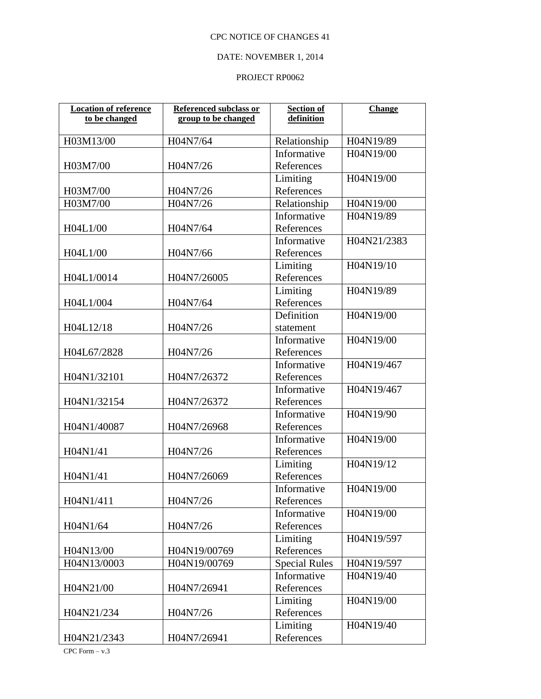## DATE: NOVEMBER 1, 2014

#### PROJECT RP0062

| <b>Location of reference</b><br>to be changed | <b>Referenced subclass or</b><br>group to be changed | <b>Section of</b><br>definition | <b>Change</b> |
|-----------------------------------------------|------------------------------------------------------|---------------------------------|---------------|
| H03M13/00                                     | H04N7/64                                             | Relationship                    | H04N19/89     |
|                                               |                                                      | Informative                     | H04N19/00     |
| H03M7/00                                      | H04N7/26                                             | References                      |               |
|                                               |                                                      | Limiting                        | H04N19/00     |
| H03M7/00                                      | H04N7/26                                             | References                      |               |
| H03M7/00                                      | H04N7/26                                             | Relationship                    | H04N19/00     |
|                                               |                                                      | Informative                     | H04N19/89     |
| H04L1/00                                      | H04N7/64                                             | References                      |               |
|                                               |                                                      | Informative                     | H04N21/2383   |
| H04L1/00                                      | H04N7/66                                             | References                      |               |
|                                               |                                                      | Limiting                        | H04N19/10     |
| H04L1/0014                                    | H04N7/26005                                          | References                      |               |
|                                               |                                                      | Limiting                        | H04N19/89     |
| H04L1/004                                     | H04N7/64                                             | References                      |               |
|                                               |                                                      | Definition                      | H04N19/00     |
| H04L12/18                                     | H04N7/26                                             | statement                       |               |
|                                               |                                                      | Informative                     | H04N19/00     |
| H04L67/2828                                   | H04N7/26                                             | References                      |               |
|                                               |                                                      | Informative                     | H04N19/467    |
| H04N1/32101                                   | H04N7/26372                                          | References                      |               |
|                                               |                                                      | Informative                     | H04N19/467    |
| H04N1/32154                                   | H04N7/26372                                          | References                      |               |
|                                               |                                                      | Informative                     | H04N19/90     |
| H04N1/40087                                   | H04N7/26968                                          | References                      |               |
|                                               |                                                      | Informative                     | H04N19/00     |
| H04N1/41                                      | H04N7/26                                             | References                      |               |
|                                               |                                                      | Limiting                        | H04N19/12     |
| H04N1/41                                      | H04N7/26069                                          | References                      |               |
|                                               |                                                      | Informative                     | H04N19/00     |
| H04N1/411                                     | H04N7/26                                             | References                      |               |
|                                               |                                                      | Informative                     | H04N19/00     |
| H04N1/64                                      | H04N7/26                                             | References                      |               |
|                                               |                                                      | Limiting                        | H04N19/597    |
| H04N13/00                                     | H04N19/00769                                         | References                      |               |
| H04N13/0003                                   | H04N19/00769                                         | <b>Special Rules</b>            | H04N19/597    |
|                                               |                                                      | Informative                     | H04N19/40     |
| H04N21/00                                     | H04N7/26941                                          | References                      |               |
|                                               |                                                      | Limiting                        | H04N19/00     |
| H04N21/234                                    | H04N7/26                                             | References                      |               |
|                                               |                                                      | Limiting                        | H04N19/40     |
| H04N21/2343                                   | H04N7/26941                                          | References                      |               |

CPC Form  $-$  v.3